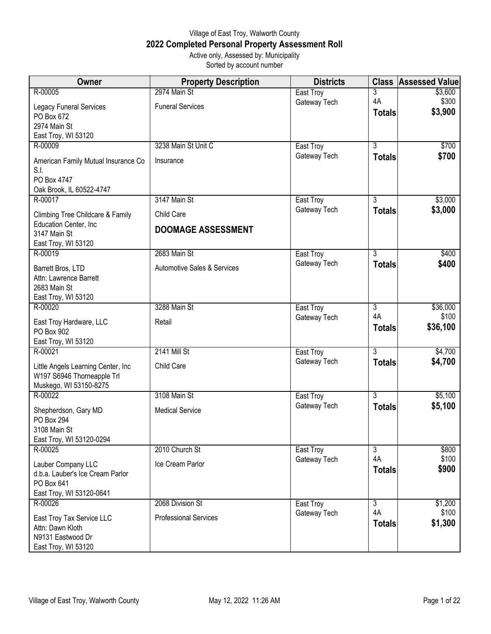## Village of East Troy, Walworth County **2022 Completed Personal Property Assessment Roll** Active only, Assessed by: Municipality

Sorted by account number

| Owner                                  | <b>Property Description</b>            | <b>Districts</b>          | <b>Class</b>   | <b>Assessed Value</b> |
|----------------------------------------|----------------------------------------|---------------------------|----------------|-----------------------|
| R-00005                                | 2974 Main St                           | East Troy                 | 3              | \$3,600               |
| Legacy Funeral Services                | <b>Funeral Services</b>                | Gateway Tech              | 4A             | \$300                 |
| PO Box 672                             |                                        |                           | <b>Totals</b>  | \$3,900               |
| 2974 Main St                           |                                        |                           |                |                       |
| East Troy, WI 53120                    |                                        |                           | $\overline{3}$ |                       |
| R-00009                                | 3238 Main St Unit C                    | East Troy<br>Gateway Tech | <b>Totals</b>  | \$700<br>\$700        |
| American Family Mutual Insurance Co    | Insurance                              |                           |                |                       |
| S.I.<br>PO Box 4747                    |                                        |                           |                |                       |
| Oak Brook, IL 60522-4747               |                                        |                           |                |                       |
| R-00017                                | 3147 Main St                           | East Troy                 | $\overline{3}$ | \$3,000               |
| Climbing Tree Childcare & Family       | Child Care                             | Gateway Tech              | <b>Totals</b>  | \$3,000               |
| Education Center, Inc                  |                                        |                           |                |                       |
| 3147 Main St                           | <b>DOOMAGE ASSESSMENT</b>              |                           |                |                       |
| East Troy, WI 53120                    |                                        |                           |                |                       |
| R-00019                                | 2683 Main St                           | East Troy<br>Gateway Tech | $\overline{3}$ | \$400<br>\$400        |
| Barrett Bros, LTD                      | <b>Automotive Sales &amp; Services</b> |                           | <b>Totals</b>  |                       |
| Attn: Lawrence Barrett<br>2683 Main St |                                        |                           |                |                       |
| East Troy, WI 53120                    |                                        |                           |                |                       |
| R-00020                                | 3288 Main St                           | East Troy                 | $\overline{3}$ | \$36,000              |
| East Troy Hardware, LLC                | Retail                                 | Gateway Tech              | 4A             | \$100                 |
| PO Box 902                             |                                        |                           | <b>Totals</b>  | \$36,100              |
| East Troy, WI 53120                    |                                        |                           |                |                       |
| R-00021                                | <b>2141 Mill St</b>                    | East Troy                 | 3              | \$4,700               |
| Little Angels Learning Center, Inc     | Child Care                             | Gateway Tech              | <b>Totals</b>  | \$4,700               |
| W197 S6946 Thorneapple Trl             |                                        |                           |                |                       |
| Muskego, WI 53150-8275                 |                                        |                           |                |                       |
| R-00022                                | 3108 Main St                           | East Troy                 | $\overline{3}$ | \$5,100               |
| Shepherdson, Gary MD                   | <b>Medical Service</b>                 | Gateway Tech              | <b>Totals</b>  | \$5,100               |
| <b>PO Box 294</b><br>3108 Main St      |                                        |                           |                |                       |
| East Troy, WI 53120-0294               |                                        |                           |                |                       |
| R-00025                                | 2010 Church St                         | East Troy                 | $\overline{3}$ | \$800                 |
| Lauber Company LLC                     | Ice Cream Parlor                       | Gateway Tech              | 4A             | \$100                 |
| d.b.a. Lauber's Ice Cream Parlor       |                                        |                           | <b>Totals</b>  | \$900                 |
| PO Box 641                             |                                        |                           |                |                       |
| East Troy, WI 53120-0641               |                                        |                           |                |                       |
| R-00026                                | 2068 Division St                       | East Troy                 | $\overline{3}$ | \$1,200               |
| East Troy Tax Service LLC              | <b>Professional Services</b>           | Gateway Tech              | 4A             | \$100<br>\$1,300      |
| Attn: Dawn Kloth                       |                                        |                           | <b>Totals</b>  |                       |
| N9131 Eastwood Dr                      |                                        |                           |                |                       |
| East Troy, WI 53120                    |                                        |                           |                |                       |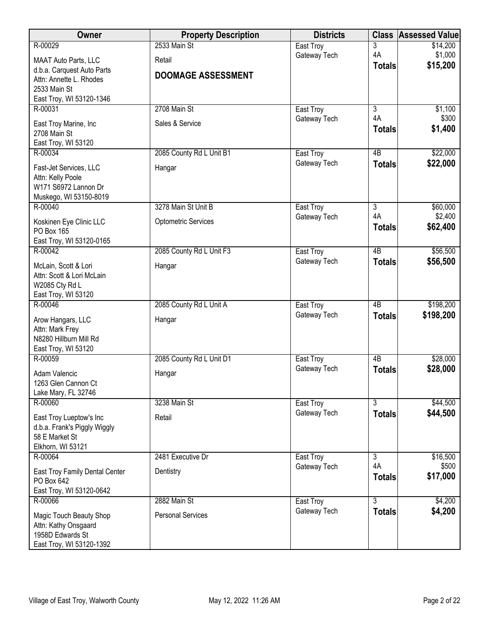| Owner                                                   | <b>Property Description</b> | <b>Districts</b>          | <b>Class</b>        | <b>Assessed Value</b> |
|---------------------------------------------------------|-----------------------------|---------------------------|---------------------|-----------------------|
| R-00029                                                 | 2533 Main St                | East Troy                 | 3                   | \$14,200              |
| MAAT Auto Parts, LLC                                    | Retail                      | Gateway Tech              | 4A<br><b>Totals</b> | \$1,000<br>\$15,200   |
| d.b.a. Carquest Auto Parts                              | <b>DOOMAGE ASSESSMENT</b>   |                           |                     |                       |
| Attn: Annette L. Rhodes<br>2533 Main St                 |                             |                           |                     |                       |
| East Troy, WI 53120-1346                                |                             |                           |                     |                       |
| R-00031                                                 | 2708 Main St                | East Troy                 | 3                   | \$1,100               |
| East Troy Marine, Inc                                   | Sales & Service             | Gateway Tech              | 4A                  | \$300                 |
| 2708 Main St                                            |                             |                           | <b>Totals</b>       | \$1,400               |
| East Troy, WI 53120                                     |                             |                           |                     |                       |
| R-00034                                                 | 2085 County Rd L Unit B1    | East Troy                 | 4B                  | \$22,000              |
| Fast-Jet Services, LLC                                  | Hangar                      | Gateway Tech              | <b>Totals</b>       | \$22,000              |
| Attn: Kelly Poole                                       |                             |                           |                     |                       |
| W171 S6972 Lannon Dr<br>Muskego, WI 53150-8019          |                             |                           |                     |                       |
| R-00040                                                 | 3278 Main St Unit B         | East Troy                 | 3                   | \$60,000              |
| Koskinen Eye Clinic LLC                                 | <b>Optometric Services</b>  | Gateway Tech              | 4A                  | \$2,400               |
| PO Box 165                                              |                             |                           | <b>Totals</b>       | \$62,400              |
| East Troy, WI 53120-0165                                |                             |                           |                     |                       |
| R-00042                                                 | 2085 County Rd L Unit F3    | East Troy                 | $\overline{AB}$     | \$56,500              |
| McLain, Scott & Lori                                    | Hangar                      | Gateway Tech              | <b>Totals</b>       | \$56,500              |
| Attn: Scott & Lori McLain                               |                             |                           |                     |                       |
| W2085 Cty Rd L                                          |                             |                           |                     |                       |
| East Troy, WI 53120<br>R-00046                          | 2085 County Rd L Unit A     | East Troy                 | $\overline{AB}$     | \$198,200             |
|                                                         |                             | Gateway Tech              | <b>Totals</b>       | \$198,200             |
| Arow Hangars, LLC<br>Attn: Mark Frey                    | Hangar                      |                           |                     |                       |
| N8280 Hillburn Mill Rd                                  |                             |                           |                     |                       |
| East Troy, WI 53120                                     |                             |                           |                     |                       |
| R-00059                                                 | 2085 County Rd L Unit D1    | East Troy                 | 4B                  | \$28,000              |
| Adam Valencic                                           | Hangar                      | Gateway Tech              | <b>Totals</b>       | \$28,000              |
| 1263 Glen Cannon Ct                                     |                             |                           |                     |                       |
| Lake Mary, FL 32746<br>R-00060                          | 3238 Main St                | East Troy                 | $\overline{3}$      | \$44,500              |
|                                                         |                             | Gateway Tech              | <b>Totals</b>       | \$44,500              |
| East Troy Lueptow's Inc<br>d.b.a. Frank's Piggly Wiggly | Retail                      |                           |                     |                       |
| 58 E Market St                                          |                             |                           |                     |                       |
| Elkhorn, WI 53121                                       |                             |                           |                     |                       |
| R-00064                                                 | 2481 Executive Dr           | East Troy                 | $\overline{3}$      | \$16,500              |
| East Troy Family Dental Center                          | Dentistry                   | Gateway Tech              | 4A                  | \$500<br>\$17,000     |
| PO Box 642                                              |                             |                           | <b>Totals</b>       |                       |
| East Troy, WI 53120-0642                                |                             |                           | $\overline{3}$      |                       |
| R-00066                                                 | 2882 Main St                | East Troy<br>Gateway Tech | <b>Totals</b>       | \$4,200<br>\$4,200    |
| Magic Touch Beauty Shop                                 | <b>Personal Services</b>    |                           |                     |                       |
| Attn: Kathy Onsgaard<br>1958D Edwards St                |                             |                           |                     |                       |
| East Troy, WI 53120-1392                                |                             |                           |                     |                       |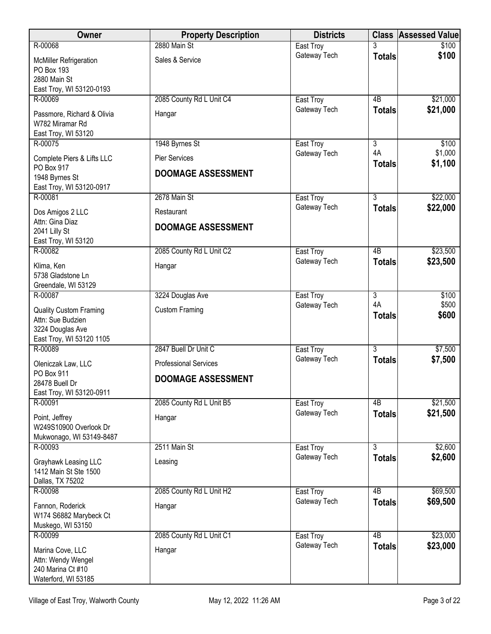| <b>Owner</b>                                                                                       | <b>Property Description</b>                       | <b>Districts</b> |                     | <b>Class Assessed Value</b> |
|----------------------------------------------------------------------------------------------------|---------------------------------------------------|------------------|---------------------|-----------------------------|
| R-00068                                                                                            | 2880 Main St                                      | East Troy        |                     | \$100                       |
| <b>McMiller Refrigeration</b><br>PO Box 193<br>2880 Main St<br>East Troy, WI 53120-0193            | Sales & Service                                   | Gateway Tech     | <b>Totals</b>       | \$100                       |
| R-00069                                                                                            | 2085 County Rd L Unit C4                          | East Troy        | 4B                  | \$21,000                    |
| Passmore, Richard & Olivia<br>W782 Miramar Rd<br>East Troy, WI 53120                               | Hangar                                            | Gateway Tech     | <b>Totals</b>       | \$21,000                    |
| R-00075                                                                                            | 1948 Byrnes St                                    | East Troy        | $\overline{3}$      | \$100                       |
| Complete Piers & Lifts LLC<br>PO Box 917<br>1948 Byrnes St<br>East Troy, WI 53120-0917             | <b>Pier Services</b><br><b>DOOMAGE ASSESSMENT</b> | Gateway Tech     | 4A<br><b>Totals</b> | \$1,000<br>\$1,100          |
| R-00081                                                                                            | 2678 Main St                                      | East Troy        | $\overline{3}$      | \$22,000                    |
| Dos Amigos 2 LLC                                                                                   | Restaurant                                        | Gateway Tech     | <b>Totals</b>       | \$22,000                    |
| Attn: Gina Diaz<br>2041 Lilly St<br>East Troy, WI 53120                                            | <b>DOOMAGE ASSESSMENT</b>                         |                  |                     |                             |
| R-00082                                                                                            | 2085 County Rd L Unit C2                          | East Troy        | $\overline{AB}$     | \$23,500                    |
| Klima, Ken<br>5738 Gladstone Ln<br>Greendale, WI 53129                                             | Hangar                                            | Gateway Tech     | <b>Totals</b>       | \$23,500                    |
| R-00087                                                                                            | 3224 Douglas Ave                                  | East Troy        | $\overline{3}$      | \$100                       |
| <b>Quality Custom Framing</b><br>Attn: Sue Budzien<br>3224 Douglas Ave<br>East Troy, WI 53120 1105 | <b>Custom Framing</b>                             | Gateway Tech     | 4A<br><b>Totals</b> | \$500<br>\$600              |
| R-00089                                                                                            | 2847 Buell Dr Unit C                              | East Troy        | $\overline{3}$      | \$7,500                     |
| Oleniczak Law, LLC                                                                                 | <b>Professional Services</b>                      | Gateway Tech     | <b>Totals</b>       | \$7,500                     |
| PO Box 911<br>28478 Buell Dr<br>East Troy, WI 53120-0911                                           | <b>DOOMAGE ASSESSMENT</b>                         |                  |                     |                             |
| R-00091                                                                                            | 2085 County Rd L Unit B5                          | East Troy        | 4B                  | \$21,500                    |
| Point, Jeffrey<br>W249S10900 Overlook Dr<br>Mukwonago, WI 53149-8487                               | Hangar                                            | Gateway Tech     | <b>Totals</b>       | \$21,500                    |
| R-00093                                                                                            | 2511 Main St                                      | East Troy        | $\overline{3}$      | \$2,600                     |
| Grayhawk Leasing LLC<br>1412 Main St Ste 1500<br>Dallas, TX 75202                                  | Leasing                                           | Gateway Tech     | <b>Totals</b>       | \$2,600                     |
| R-00098                                                                                            | 2085 County Rd L Unit H2                          | East Troy        | 4B                  | \$69,500                    |
| Fannon, Roderick<br>W174 S6882 Marybeck Ct<br>Muskego, WI 53150                                    | Hangar                                            | Gateway Tech     | <b>Totals</b>       | \$69,500                    |
| R-00099                                                                                            | 2085 County Rd L Unit C1                          | East Troy        | $\overline{AB}$     | \$23,000                    |
| Marina Cove, LLC<br>Attn: Wendy Wengel<br>240 Marina Ct #10<br>Waterford, WI 53185                 | Hangar                                            | Gateway Tech     | <b>Totals</b>       | \$23,000                    |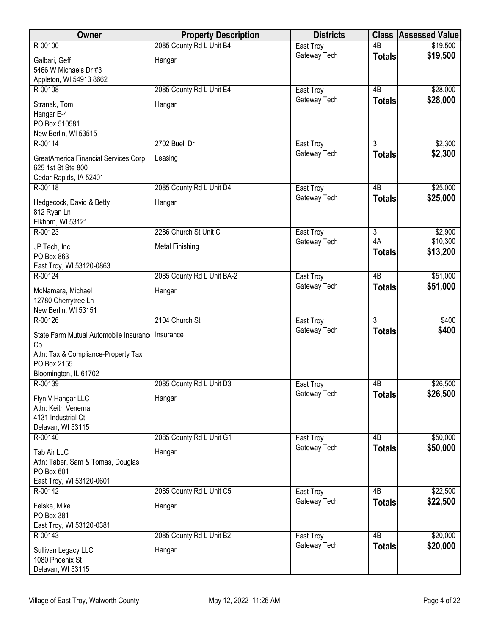| Owner                                                                                                                       | <b>Property Description</b> | <b>Districts</b> | <b>Class</b>        | <b>Assessed Value</b> |
|-----------------------------------------------------------------------------------------------------------------------------|-----------------------------|------------------|---------------------|-----------------------|
| R-00100                                                                                                                     | 2085 County Rd L Unit B4    | East Troy        | $\overline{AB}$     | \$19,500              |
| Galbari, Geff<br>5466 W Michaels Dr #3<br>Appleton, WI 54913 8662                                                           | Hangar                      | Gateway Tech     | <b>Totals</b>       | \$19,500              |
| R-00108                                                                                                                     | 2085 County Rd L Unit E4    | East Troy        | 4B                  | \$28,000              |
| Stranak, Tom<br>Hangar E-4<br>PO Box 510581<br>New Berlin, WI 53515                                                         | Hangar                      | Gateway Tech     | <b>Totals</b>       | \$28,000              |
| R-00114                                                                                                                     | 2702 Buell Dr               | East Troy        | 3                   | \$2,300               |
| GreatAmerica Financial Services Corp<br>625 1st St Ste 800<br>Cedar Rapids, IA 52401                                        | Leasing                     | Gateway Tech     | <b>Totals</b>       | \$2,300               |
| R-00118                                                                                                                     | 2085 County Rd L Unit D4    | East Troy        | $\overline{AB}$     | \$25,000              |
| Hedgecock, David & Betty<br>812 Ryan Ln<br>Elkhorn, WI 53121                                                                | Hangar                      | Gateway Tech     | <b>Totals</b>       | \$25,000              |
| R-00123                                                                                                                     | 2286 Church St Unit C       | East Troy        | 3                   | \$2,900               |
| JP Tech, Inc<br>PO Box 863<br>East Troy, WI 53120-0863                                                                      | <b>Metal Finishing</b>      | Gateway Tech     | 4A<br><b>Totals</b> | \$10,300<br>\$13,200  |
| R-00124                                                                                                                     | 2085 County Rd L Unit BA-2  | East Troy        | 4B                  | \$51,000              |
| McNamara, Michael<br>12780 Cherrytree Ln<br>New Berlin, WI 53151                                                            | Hangar                      | Gateway Tech     | <b>Totals</b>       | \$51,000              |
| R-00126                                                                                                                     | 2104 Church St              | East Troy        | $\overline{3}$      | \$400                 |
| State Farm Mutual Automobile Insurance<br>Co<br>Attn: Tax & Compliance-Property Tax<br>PO Box 2155<br>Bloomington, IL 61702 | Insurance                   | Gateway Tech     | <b>Totals</b>       | \$400                 |
| R-00139                                                                                                                     | 2085 County Rd L Unit D3    | East Troy        | 4B                  | \$26,500              |
| Flyn V Hangar LLC<br>Attn: Keith Venema<br>4131 Industrial Ct<br>Delavan, WI 53115                                          | Hangar                      | Gateway Tech     | <b>Totals</b>       | \$26,500              |
| R-00140                                                                                                                     | 2085 County Rd L Unit G1    | East Troy        | 4 <sub>B</sub>      | \$50,000              |
| Tab Air LLC<br>Attn: Taber, Sam & Tomas, Douglas<br>PO Box 601<br>East Troy, WI 53120-0601                                  | Hangar                      | Gateway Tech     | <b>Totals</b>       | \$50,000              |
| R-00142                                                                                                                     | 2085 County Rd L Unit C5    | East Troy        | 4B                  | \$22,500              |
| Felske, Mike<br>PO Box 381<br>East Troy, WI 53120-0381                                                                      | Hangar                      | Gateway Tech     | <b>Totals</b>       | \$22,500              |
| R-00143                                                                                                                     | 2085 County Rd L Unit B2    | East Troy        | 4B                  | \$20,000              |
| Sullivan Legacy LLC<br>1080 Phoenix St<br>Delavan, WI 53115                                                                 | Hangar                      | Gateway Tech     | <b>Totals</b>       | \$20,000              |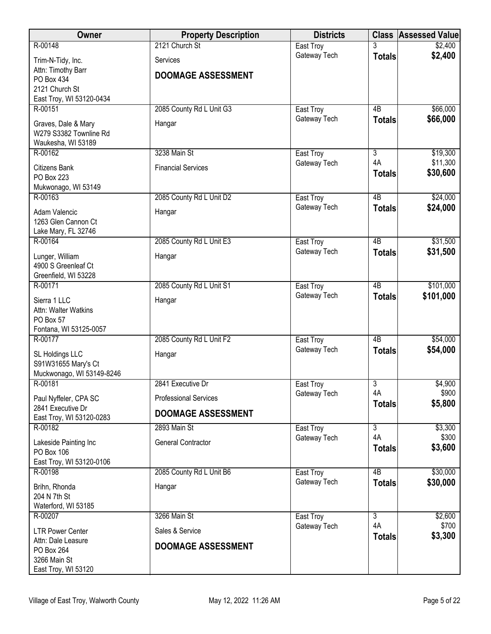| <b>Owner</b>                                  | <b>Property Description</b>  | <b>Districts</b>          |                      | <b>Class Assessed Value</b> |
|-----------------------------------------------|------------------------------|---------------------------|----------------------|-----------------------------|
| R-00148                                       | 2121 Church St               | East Troy                 |                      | \$2,400                     |
| Trim-N-Tidy, Inc.                             | Services                     | Gateway Tech              | <b>Totals</b>        | \$2,400                     |
| Attn: Timothy Barr                            | <b>DOOMAGE ASSESSMENT</b>    |                           |                      |                             |
| PO Box 434<br>2121 Church St                  |                              |                           |                      |                             |
| East Troy, WI 53120-0434                      |                              |                           |                      |                             |
| R-00151                                       | 2085 County Rd L Unit G3     | East Troy                 | 4B                   | \$66,000                    |
| Graves, Dale & Mary                           | Hangar                       | Gateway Tech              | <b>Totals</b>        | \$66,000                    |
| W279 S3382 Townline Rd                        |                              |                           |                      |                             |
| Waukesha, WI 53189<br>R-00162                 | 3238 Main St                 | East Troy                 | $\overline{3}$       | \$19,300                    |
|                                               |                              | Gateway Tech              | 4A                   | \$11,300                    |
| Citizens Bank<br>PO Box 223                   | <b>Financial Services</b>    |                           | <b>Totals</b>        | \$30,600                    |
| Mukwonago, WI 53149                           |                              |                           |                      |                             |
| R-00163                                       | 2085 County Rd L Unit D2     | East Troy                 | $\overline{AB}$      | \$24,000                    |
| Adam Valencic                                 | Hangar                       | Gateway Tech              | <b>Totals</b>        | \$24,000                    |
| 1263 Glen Cannon Ct                           |                              |                           |                      |                             |
| Lake Mary, FL 32746<br>R-00164                | 2085 County Rd L Unit E3     | East Troy                 | $\overline{AB}$      | \$31,500                    |
|                                               |                              | Gateway Tech              | <b>Totals</b>        | \$31,500                    |
| Lunger, William<br>4900 S Greenleaf Ct        | Hangar                       |                           |                      |                             |
| Greenfield, WI 53228                          |                              |                           |                      |                             |
| R-00171                                       | 2085 County Rd L Unit S1     | East Troy                 | $\overline{AB}$      | \$101,000                   |
| Sierra 1 LLC                                  | Hangar                       | Gateway Tech              | <b>Totals</b>        | \$101,000                   |
| Attn: Walter Watkins                          |                              |                           |                      |                             |
| PO Box 57<br>Fontana, WI 53125-0057           |                              |                           |                      |                             |
| R-00177                                       | 2085 County Rd L Unit F2     | East Troy                 | $\overline{AB}$      | \$54,000                    |
| SL Holdings LLC                               | Hangar                       | Gateway Tech              | <b>Totals</b>        | \$54,000                    |
| S91W31655 Mary's Ct                           |                              |                           |                      |                             |
| Muckwonago, WI 53149-8246                     |                              |                           |                      |                             |
| R-00181                                       | 2841 Executive Dr            | East Troy<br>Gateway Tech | $\overline{3}$<br>4A | \$4,900<br>\$900            |
| Paul Nyffeler, CPA SC                         | <b>Professional Services</b> |                           | <b>Totals</b>        | \$5,800                     |
| 2841 Executive Dr<br>East Troy, WI 53120-0283 | <b>DOOMAGE ASSESSMENT</b>    |                           |                      |                             |
| R-00182                                       | 2893 Main St                 | East Troy                 | 3                    | \$3,300                     |
| Lakeside Painting Inc                         | <b>General Contractor</b>    | Gateway Tech              | 4A                   | \$300                       |
| PO Box 106                                    |                              |                           | <b>Totals</b>        | \$3,600                     |
| East Troy, WI 53120-0106                      |                              |                           | $\overline{AB}$      |                             |
| R-00198                                       | 2085 County Rd L Unit B6     | East Troy<br>Gateway Tech | <b>Totals</b>        | \$30,000<br>\$30,000        |
| Brihn, Rhonda<br>204 N 7th St                 | Hangar                       |                           |                      |                             |
| Waterford, WI 53185                           |                              |                           |                      |                             |
| R-00207                                       | 3266 Main St                 | East Troy                 | $\overline{3}$       | \$2,600                     |
| <b>LTR Power Center</b>                       | Sales & Service              | Gateway Tech              | 4A                   | \$700                       |
| Attn: Dale Leasure                            | <b>DOOMAGE ASSESSMENT</b>    |                           | <b>Totals</b>        | \$3,300                     |
| PO Box 264<br>3266 Main St                    |                              |                           |                      |                             |
| East Troy, WI 53120                           |                              |                           |                      |                             |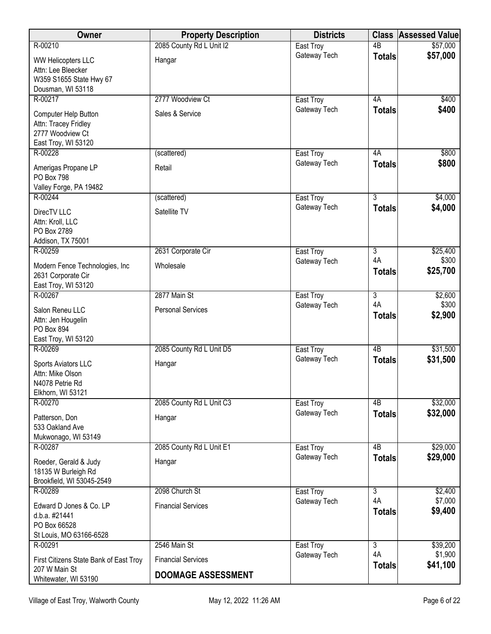| Owner                                                                                   | <b>Property Description</b> | <b>Districts</b>          | <b>Class</b>        | <b>Assessed Value</b> |
|-----------------------------------------------------------------------------------------|-----------------------------|---------------------------|---------------------|-----------------------|
| R-00210                                                                                 | 2085 County Rd L Unit I2    | East Troy                 | $\overline{AB}$     | \$57,000              |
| <b>WW Helicopters LLC</b><br>Attn: Lee Bleecker<br>W359 S1655 State Hwy 67              | Hangar                      | Gateway Tech              | <b>Totals</b>       | \$57,000              |
| Dousman, WI 53118                                                                       |                             |                           |                     |                       |
| R-00217                                                                                 | 2777 Woodview Ct            | East Troy<br>Gateway Tech | 4A                  | \$400<br>\$400        |
| Computer Help Button<br>Attn: Tracey Fridley<br>2777 Woodview Ct<br>East Troy, WI 53120 | Sales & Service             |                           | <b>Totals</b>       |                       |
| R-00228                                                                                 | (scattered)                 | East Troy                 | 4A                  | \$800                 |
| Amerigas Propane LP<br>PO Box 798<br>Valley Forge, PA 19482                             | Retail                      | Gateway Tech              | <b>Totals</b>       | \$800                 |
| R-00244                                                                                 | (scattered)                 | East Troy                 | $\overline{3}$      | \$4,000               |
| DirecTV LLC<br>Attn: Kroll, LLC<br>PO Box 2789<br>Addison, TX 75001                     | Satellite TV                | Gateway Tech              | <b>Totals</b>       | \$4,000               |
| R-00259                                                                                 | 2631 Corporate Cir          | East Troy                 | 3                   | \$25,400              |
| Modern Fence Technologies, Inc<br>2631 Corporate Cir<br>East Troy, WI 53120             | Wholesale                   | Gateway Tech              | 4A<br><b>Totals</b> | \$300<br>\$25,700     |
| R-00267                                                                                 | 2877 Main St                | East Troy                 | $\overline{3}$      | \$2,600               |
| Salon Reneu LLC<br>Attn: Jen Hougelin<br>PO Box 894<br>East Troy, WI 53120              | <b>Personal Services</b>    | Gateway Tech              | 4A<br><b>Totals</b> | \$300<br>\$2,900      |
| R-00269                                                                                 | 2085 County Rd L Unit D5    | East Troy                 | $\overline{AB}$     | \$31,500              |
| Sports Aviators LLC<br>Attn: Mike Olson<br>N4078 Petrie Rd<br>Elkhorn, WI 53121         | Hangar                      | Gateway Tech              | <b>Totals</b>       | \$31,500              |
| R-00270                                                                                 | 2085 County Rd L Unit C3    | East Troy                 | 4B                  | \$32,000              |
| Patterson, Don<br>533 Oakland Ave<br>Mukwonago, WI 53149                                | Hangar                      | Gateway Tech              | <b>Totals</b>       | \$32,000              |
| R-00287                                                                                 | 2085 County Rd L Unit E1    | East Troy                 | 4B                  | \$29,000              |
| Roeder, Gerald & Judy<br>18135 W Burleigh Rd<br>Brookfield, WI 53045-2549               | Hangar                      | Gateway Tech              | <b>Totals</b>       | \$29,000              |
| R-00289                                                                                 | 2098 Church St              | East Troy                 | $\overline{3}$      | \$2,400               |
| Edward D Jones & Co. LP<br>d.b.a. #21441<br>PO Box 66528<br>St Louis, MO 63166-6528     | <b>Financial Services</b>   | Gateway Tech              | 4A<br><b>Totals</b> | \$7,000<br>\$9,400    |
| R-00291                                                                                 | 2546 Main St                | East Troy                 | $\overline{3}$      | \$39,200              |
| First Citizens State Bank of East Troy                                                  | <b>Financial Services</b>   | Gateway Tech              | 4A<br><b>Totals</b> | \$1,900<br>\$41,100   |
| 207 W Main St<br>Whitewater, WI 53190                                                   | <b>DOOMAGE ASSESSMENT</b>   |                           |                     |                       |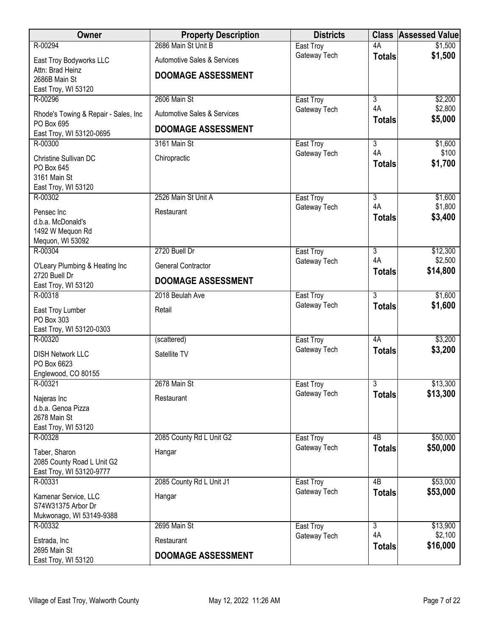| Owner                                              | <b>Property Description</b>            | <b>Districts</b>          | <b>Class</b>         | <b>Assessed Value</b> |
|----------------------------------------------------|----------------------------------------|---------------------------|----------------------|-----------------------|
| R-00294                                            | 2686 Main St Unit B                    | East Troy                 | 4A                   | \$1,500               |
| East Troy Bodyworks LLC                            | Automotive Sales & Services            | Gateway Tech              | <b>Totals</b>        | \$1,500               |
| Attn: Brad Heinz                                   | <b>DOOMAGE ASSESSMENT</b>              |                           |                      |                       |
| 2686B Main St                                      |                                        |                           |                      |                       |
| East Troy, WI 53120<br>R-00296                     | 2606 Main St                           | East Troy                 | $\overline{3}$       | \$2,200               |
|                                                    |                                        | Gateway Tech              | 4A                   | \$2,800               |
| Rhode's Towing & Repair - Sales, Inc<br>PO Box 695 | <b>Automotive Sales &amp; Services</b> |                           | <b>Totals</b>        | \$5,000               |
| East Troy, WI 53120-0695                           | <b>DOOMAGE ASSESSMENT</b>              |                           |                      |                       |
| R-00300                                            | 3161 Main St                           | East Troy                 | 3                    | \$1,600               |
| Christine Sullivan DC                              | Chiropractic                           | Gateway Tech              | 4A                   | \$100                 |
| PO Box 645                                         |                                        |                           | <b>Totals</b>        | \$1,700               |
| 3161 Main St                                       |                                        |                           |                      |                       |
| East Troy, WI 53120                                |                                        |                           |                      |                       |
| R-00302                                            | 2526 Main St Unit A                    | East Troy<br>Gateway Tech | $\overline{3}$<br>4A | \$1,600<br>\$1,800    |
| Pensec Inc                                         | Restaurant                             |                           | <b>Totals</b>        | \$3,400               |
| d.b.a. McDonald's<br>1492 W Mequon Rd              |                                        |                           |                      |                       |
| Mequon, WI 53092                                   |                                        |                           |                      |                       |
| R-00304                                            | 2720 Buell Dr                          | East Troy                 | 3                    | \$12,300              |
| O'Leary Plumbing & Heating Inc                     | General Contractor                     | Gateway Tech              | 4A                   | \$2,500               |
| 2720 Buell Dr                                      |                                        |                           | <b>Totals</b>        | \$14,800              |
| East Troy, WI 53120                                | <b>DOOMAGE ASSESSMENT</b>              |                           |                      |                       |
| R-00318                                            | 2018 Beulah Ave                        | East Troy                 | $\overline{3}$       | \$1,600               |
| East Troy Lumber                                   | Retail                                 | Gateway Tech              | <b>Totals</b>        | \$1,600               |
| PO Box 303                                         |                                        |                           |                      |                       |
| East Troy, WI 53120-0303<br>R-00320                | (scattered)                            | East Troy                 | 4A                   | \$3,200               |
|                                                    |                                        | Gateway Tech              | <b>Totals</b>        | \$3,200               |
| <b>DISH Network LLC</b>                            | Satellite TV                           |                           |                      |                       |
| PO Box 6623<br>Englewood, CO 80155                 |                                        |                           |                      |                       |
| R-00321                                            | 2678 Main St                           | East Troy                 | 3                    | \$13,300              |
| Najeras Inc                                        | Restaurant                             | Gateway Tech              | <b>Totals</b>        | \$13,300              |
| d.b.a. Genoa Pizza                                 |                                        |                           |                      |                       |
| 2678 Main St                                       |                                        |                           |                      |                       |
| East Troy, WI 53120                                |                                        |                           |                      |                       |
| R-00328                                            | 2085 County Rd L Unit G2               | East Troy                 | 4 <sub>B</sub>       | \$50,000              |
| Taber, Sharon                                      | Hangar                                 | Gateway Tech              | <b>Totals</b>        | \$50,000              |
| 2085 County Road L Unit G2                         |                                        |                           |                      |                       |
| East Troy, WI 53120-9777<br>R-00331                | 2085 County Rd L Unit J1               | East Troy                 | 4B                   | \$53,000              |
|                                                    |                                        | Gateway Tech              | <b>Totals</b>        | \$53,000              |
| Kamenar Service, LLC<br>S74W31375 Arbor Dr         | Hangar                                 |                           |                      |                       |
| Mukwonago, WI 53149-9388                           |                                        |                           |                      |                       |
| R-00332                                            | 2695 Main St                           | East Troy                 | $\overline{3}$       | \$13,900              |
| Estrada, Inc                                       | Restaurant                             | Gateway Tech              | 4A                   | \$2,100               |
| 2695 Main St                                       |                                        |                           | <b>Totals</b>        | \$16,000              |
| East Troy, WI 53120                                | <b>DOOMAGE ASSESSMENT</b>              |                           |                      |                       |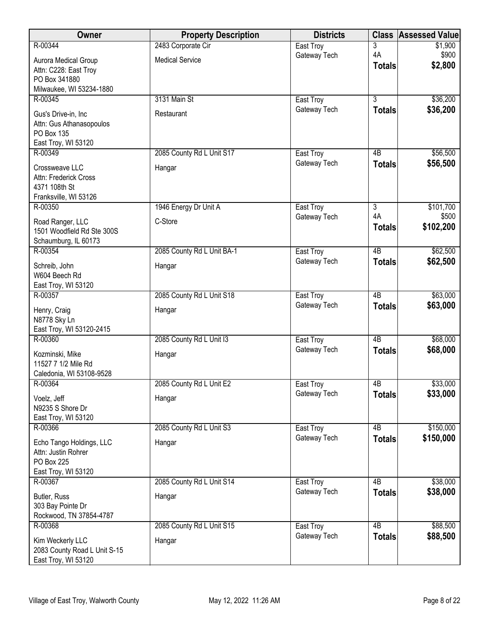| R-00344<br>3<br>East Troy<br>\$1,900<br>4A<br>\$900<br>Gateway Tech<br><b>Medical Service</b><br>Aurora Medical Group<br>\$2,800<br><b>Totals</b><br>Attn: C228: East Troy<br>PO Box 341880<br>Milwaukee, WI 53234-1880<br>3131 Main St<br>$\overline{3}$<br>\$36,200<br>R-00345<br>East Troy<br>\$36,200<br>Gateway Tech<br><b>Totals</b><br>Gus's Drive-in, Inc<br>Restaurant<br>Attn: Gus Athanasopoulos<br>PO Box 135<br>East Troy, WI 53120<br>R-00349<br>2085 County Rd L Unit S17<br>\$56,500<br>East Troy<br>$\overline{AB}$<br>Gateway Tech<br>\$56,500<br><b>Totals</b><br>Crossweave LLC<br>Hangar<br>Attn: Frederick Cross<br>4371 108th St<br>Franksville, WI 53126<br>R-00350<br>1946 Energy Dr Unit A<br>$\overline{3}$<br>\$101,700<br>East Troy<br>4A<br>\$500<br>Gateway Tech<br>C-Store<br>Road Ranger, LLC<br>\$102,200<br><b>Totals</b><br>1501 Woodfield Rd Ste 300S<br>Schaumburg, IL 60173<br>2085 County Rd L Unit BA-1<br>$\overline{AB}$<br>\$62,500<br>R-00354<br>East Troy<br>\$62,500<br>Gateway Tech<br><b>Totals</b><br>Schreib, John<br>Hangar<br>W604 Beech Rd<br>East Troy, WI 53120<br>2085 County Rd L Unit S18<br>$\overline{AB}$<br>\$63,000<br>R-00357<br>East Troy<br>\$63,000<br>Gateway Tech<br><b>Totals</b><br>Henry, Craig<br>Hangar<br>N8778 Sky Ln<br>East Troy, WI 53120-2415<br>2085 County Rd L Unit I3<br>$\overline{AB}$<br>\$68,000<br>R-00360<br>East Troy<br>\$68,000<br>Gateway Tech<br><b>Totals</b><br>Kozminski, Mike<br>Hangar<br>11527 7 1/2 Mile Rd<br>Caledonia, WI 53108-9528<br>\$33,000<br>R-00364<br>2085 County Rd L Unit E2<br>4B<br>East Troy<br>\$33,000<br>Gateway Tech<br><b>Totals</b><br>Voelz, Jeff<br>Hangar<br>N9235 S Shore Dr<br>East Troy, WI 53120<br>\$150,000<br>2085 County Rd L Unit S3<br>R-00366<br>4 <sub>B</sub><br>East Troy<br>Gateway Tech<br>\$150,000<br><b>Totals</b><br>Echo Tango Holdings, LLC<br>Hangar<br>Attn: Justin Rohrer<br>PO Box 225<br>East Troy, WI 53120<br>2085 County Rd L Unit S14<br>$\overline{AB}$<br>\$38,000<br>R-00367<br>East Troy<br>\$38,000<br>Gateway Tech<br><b>Totals</b> | Owner        | <b>Property Description</b> | <b>Districts</b> | <b>Class</b> | <b>Assessed Value</b> |
|-----------------------------------------------------------------------------------------------------------------------------------------------------------------------------------------------------------------------------------------------------------------------------------------------------------------------------------------------------------------------------------------------------------------------------------------------------------------------------------------------------------------------------------------------------------------------------------------------------------------------------------------------------------------------------------------------------------------------------------------------------------------------------------------------------------------------------------------------------------------------------------------------------------------------------------------------------------------------------------------------------------------------------------------------------------------------------------------------------------------------------------------------------------------------------------------------------------------------------------------------------------------------------------------------------------------------------------------------------------------------------------------------------------------------------------------------------------------------------------------------------------------------------------------------------------------------------------------------------------------------------------------------------------------------------------------------------------------------------------------------------------------------------------------------------------------------------------------------------------------------------------------------------------------------------------------------------------------------------------------------------------------------------------------------------------------------------------------------------------|--------------|-----------------------------|------------------|--------------|-----------------------|
|                                                                                                                                                                                                                                                                                                                                                                                                                                                                                                                                                                                                                                                                                                                                                                                                                                                                                                                                                                                                                                                                                                                                                                                                                                                                                                                                                                                                                                                                                                                                                                                                                                                                                                                                                                                                                                                                                                                                                                                                                                                                                                           |              | 2483 Corporate Cir          |                  |              |                       |
|                                                                                                                                                                                                                                                                                                                                                                                                                                                                                                                                                                                                                                                                                                                                                                                                                                                                                                                                                                                                                                                                                                                                                                                                                                                                                                                                                                                                                                                                                                                                                                                                                                                                                                                                                                                                                                                                                                                                                                                                                                                                                                           |              |                             |                  |              |                       |
|                                                                                                                                                                                                                                                                                                                                                                                                                                                                                                                                                                                                                                                                                                                                                                                                                                                                                                                                                                                                                                                                                                                                                                                                                                                                                                                                                                                                                                                                                                                                                                                                                                                                                                                                                                                                                                                                                                                                                                                                                                                                                                           |              |                             |                  |              |                       |
|                                                                                                                                                                                                                                                                                                                                                                                                                                                                                                                                                                                                                                                                                                                                                                                                                                                                                                                                                                                                                                                                                                                                                                                                                                                                                                                                                                                                                                                                                                                                                                                                                                                                                                                                                                                                                                                                                                                                                                                                                                                                                                           |              |                             |                  |              |                       |
|                                                                                                                                                                                                                                                                                                                                                                                                                                                                                                                                                                                                                                                                                                                                                                                                                                                                                                                                                                                                                                                                                                                                                                                                                                                                                                                                                                                                                                                                                                                                                                                                                                                                                                                                                                                                                                                                                                                                                                                                                                                                                                           |              |                             |                  |              |                       |
|                                                                                                                                                                                                                                                                                                                                                                                                                                                                                                                                                                                                                                                                                                                                                                                                                                                                                                                                                                                                                                                                                                                                                                                                                                                                                                                                                                                                                                                                                                                                                                                                                                                                                                                                                                                                                                                                                                                                                                                                                                                                                                           |              |                             |                  |              |                       |
|                                                                                                                                                                                                                                                                                                                                                                                                                                                                                                                                                                                                                                                                                                                                                                                                                                                                                                                                                                                                                                                                                                                                                                                                                                                                                                                                                                                                                                                                                                                                                                                                                                                                                                                                                                                                                                                                                                                                                                                                                                                                                                           |              |                             |                  |              |                       |
|                                                                                                                                                                                                                                                                                                                                                                                                                                                                                                                                                                                                                                                                                                                                                                                                                                                                                                                                                                                                                                                                                                                                                                                                                                                                                                                                                                                                                                                                                                                                                                                                                                                                                                                                                                                                                                                                                                                                                                                                                                                                                                           |              |                             |                  |              |                       |
|                                                                                                                                                                                                                                                                                                                                                                                                                                                                                                                                                                                                                                                                                                                                                                                                                                                                                                                                                                                                                                                                                                                                                                                                                                                                                                                                                                                                                                                                                                                                                                                                                                                                                                                                                                                                                                                                                                                                                                                                                                                                                                           |              |                             |                  |              |                       |
|                                                                                                                                                                                                                                                                                                                                                                                                                                                                                                                                                                                                                                                                                                                                                                                                                                                                                                                                                                                                                                                                                                                                                                                                                                                                                                                                                                                                                                                                                                                                                                                                                                                                                                                                                                                                                                                                                                                                                                                                                                                                                                           |              |                             |                  |              |                       |
|                                                                                                                                                                                                                                                                                                                                                                                                                                                                                                                                                                                                                                                                                                                                                                                                                                                                                                                                                                                                                                                                                                                                                                                                                                                                                                                                                                                                                                                                                                                                                                                                                                                                                                                                                                                                                                                                                                                                                                                                                                                                                                           |              |                             |                  |              |                       |
|                                                                                                                                                                                                                                                                                                                                                                                                                                                                                                                                                                                                                                                                                                                                                                                                                                                                                                                                                                                                                                                                                                                                                                                                                                                                                                                                                                                                                                                                                                                                                                                                                                                                                                                                                                                                                                                                                                                                                                                                                                                                                                           |              |                             |                  |              |                       |
|                                                                                                                                                                                                                                                                                                                                                                                                                                                                                                                                                                                                                                                                                                                                                                                                                                                                                                                                                                                                                                                                                                                                                                                                                                                                                                                                                                                                                                                                                                                                                                                                                                                                                                                                                                                                                                                                                                                                                                                                                                                                                                           |              |                             |                  |              |                       |
|                                                                                                                                                                                                                                                                                                                                                                                                                                                                                                                                                                                                                                                                                                                                                                                                                                                                                                                                                                                                                                                                                                                                                                                                                                                                                                                                                                                                                                                                                                                                                                                                                                                                                                                                                                                                                                                                                                                                                                                                                                                                                                           |              |                             |                  |              |                       |
|                                                                                                                                                                                                                                                                                                                                                                                                                                                                                                                                                                                                                                                                                                                                                                                                                                                                                                                                                                                                                                                                                                                                                                                                                                                                                                                                                                                                                                                                                                                                                                                                                                                                                                                                                                                                                                                                                                                                                                                                                                                                                                           |              |                             |                  |              |                       |
|                                                                                                                                                                                                                                                                                                                                                                                                                                                                                                                                                                                                                                                                                                                                                                                                                                                                                                                                                                                                                                                                                                                                                                                                                                                                                                                                                                                                                                                                                                                                                                                                                                                                                                                                                                                                                                                                                                                                                                                                                                                                                                           |              |                             |                  |              |                       |
|                                                                                                                                                                                                                                                                                                                                                                                                                                                                                                                                                                                                                                                                                                                                                                                                                                                                                                                                                                                                                                                                                                                                                                                                                                                                                                                                                                                                                                                                                                                                                                                                                                                                                                                                                                                                                                                                                                                                                                                                                                                                                                           |              |                             |                  |              |                       |
|                                                                                                                                                                                                                                                                                                                                                                                                                                                                                                                                                                                                                                                                                                                                                                                                                                                                                                                                                                                                                                                                                                                                                                                                                                                                                                                                                                                                                                                                                                                                                                                                                                                                                                                                                                                                                                                                                                                                                                                                                                                                                                           |              |                             |                  |              |                       |
|                                                                                                                                                                                                                                                                                                                                                                                                                                                                                                                                                                                                                                                                                                                                                                                                                                                                                                                                                                                                                                                                                                                                                                                                                                                                                                                                                                                                                                                                                                                                                                                                                                                                                                                                                                                                                                                                                                                                                                                                                                                                                                           |              |                             |                  |              |                       |
|                                                                                                                                                                                                                                                                                                                                                                                                                                                                                                                                                                                                                                                                                                                                                                                                                                                                                                                                                                                                                                                                                                                                                                                                                                                                                                                                                                                                                                                                                                                                                                                                                                                                                                                                                                                                                                                                                                                                                                                                                                                                                                           |              |                             |                  |              |                       |
|                                                                                                                                                                                                                                                                                                                                                                                                                                                                                                                                                                                                                                                                                                                                                                                                                                                                                                                                                                                                                                                                                                                                                                                                                                                                                                                                                                                                                                                                                                                                                                                                                                                                                                                                                                                                                                                                                                                                                                                                                                                                                                           |              |                             |                  |              |                       |
|                                                                                                                                                                                                                                                                                                                                                                                                                                                                                                                                                                                                                                                                                                                                                                                                                                                                                                                                                                                                                                                                                                                                                                                                                                                                                                                                                                                                                                                                                                                                                                                                                                                                                                                                                                                                                                                                                                                                                                                                                                                                                                           |              |                             |                  |              |                       |
|                                                                                                                                                                                                                                                                                                                                                                                                                                                                                                                                                                                                                                                                                                                                                                                                                                                                                                                                                                                                                                                                                                                                                                                                                                                                                                                                                                                                                                                                                                                                                                                                                                                                                                                                                                                                                                                                                                                                                                                                                                                                                                           |              |                             |                  |              |                       |
|                                                                                                                                                                                                                                                                                                                                                                                                                                                                                                                                                                                                                                                                                                                                                                                                                                                                                                                                                                                                                                                                                                                                                                                                                                                                                                                                                                                                                                                                                                                                                                                                                                                                                                                                                                                                                                                                                                                                                                                                                                                                                                           |              |                             |                  |              |                       |
|                                                                                                                                                                                                                                                                                                                                                                                                                                                                                                                                                                                                                                                                                                                                                                                                                                                                                                                                                                                                                                                                                                                                                                                                                                                                                                                                                                                                                                                                                                                                                                                                                                                                                                                                                                                                                                                                                                                                                                                                                                                                                                           |              |                             |                  |              |                       |
|                                                                                                                                                                                                                                                                                                                                                                                                                                                                                                                                                                                                                                                                                                                                                                                                                                                                                                                                                                                                                                                                                                                                                                                                                                                                                                                                                                                                                                                                                                                                                                                                                                                                                                                                                                                                                                                                                                                                                                                                                                                                                                           |              |                             |                  |              |                       |
|                                                                                                                                                                                                                                                                                                                                                                                                                                                                                                                                                                                                                                                                                                                                                                                                                                                                                                                                                                                                                                                                                                                                                                                                                                                                                                                                                                                                                                                                                                                                                                                                                                                                                                                                                                                                                                                                                                                                                                                                                                                                                                           |              |                             |                  |              |                       |
|                                                                                                                                                                                                                                                                                                                                                                                                                                                                                                                                                                                                                                                                                                                                                                                                                                                                                                                                                                                                                                                                                                                                                                                                                                                                                                                                                                                                                                                                                                                                                                                                                                                                                                                                                                                                                                                                                                                                                                                                                                                                                                           |              |                             |                  |              |                       |
|                                                                                                                                                                                                                                                                                                                                                                                                                                                                                                                                                                                                                                                                                                                                                                                                                                                                                                                                                                                                                                                                                                                                                                                                                                                                                                                                                                                                                                                                                                                                                                                                                                                                                                                                                                                                                                                                                                                                                                                                                                                                                                           |              |                             |                  |              |                       |
|                                                                                                                                                                                                                                                                                                                                                                                                                                                                                                                                                                                                                                                                                                                                                                                                                                                                                                                                                                                                                                                                                                                                                                                                                                                                                                                                                                                                                                                                                                                                                                                                                                                                                                                                                                                                                                                                                                                                                                                                                                                                                                           |              |                             |                  |              |                       |
|                                                                                                                                                                                                                                                                                                                                                                                                                                                                                                                                                                                                                                                                                                                                                                                                                                                                                                                                                                                                                                                                                                                                                                                                                                                                                                                                                                                                                                                                                                                                                                                                                                                                                                                                                                                                                                                                                                                                                                                                                                                                                                           |              |                             |                  |              |                       |
|                                                                                                                                                                                                                                                                                                                                                                                                                                                                                                                                                                                                                                                                                                                                                                                                                                                                                                                                                                                                                                                                                                                                                                                                                                                                                                                                                                                                                                                                                                                                                                                                                                                                                                                                                                                                                                                                                                                                                                                                                                                                                                           |              |                             |                  |              |                       |
|                                                                                                                                                                                                                                                                                                                                                                                                                                                                                                                                                                                                                                                                                                                                                                                                                                                                                                                                                                                                                                                                                                                                                                                                                                                                                                                                                                                                                                                                                                                                                                                                                                                                                                                                                                                                                                                                                                                                                                                                                                                                                                           |              |                             |                  |              |                       |
|                                                                                                                                                                                                                                                                                                                                                                                                                                                                                                                                                                                                                                                                                                                                                                                                                                                                                                                                                                                                                                                                                                                                                                                                                                                                                                                                                                                                                                                                                                                                                                                                                                                                                                                                                                                                                                                                                                                                                                                                                                                                                                           |              |                             |                  |              |                       |
|                                                                                                                                                                                                                                                                                                                                                                                                                                                                                                                                                                                                                                                                                                                                                                                                                                                                                                                                                                                                                                                                                                                                                                                                                                                                                                                                                                                                                                                                                                                                                                                                                                                                                                                                                                                                                                                                                                                                                                                                                                                                                                           |              |                             |                  |              |                       |
|                                                                                                                                                                                                                                                                                                                                                                                                                                                                                                                                                                                                                                                                                                                                                                                                                                                                                                                                                                                                                                                                                                                                                                                                                                                                                                                                                                                                                                                                                                                                                                                                                                                                                                                                                                                                                                                                                                                                                                                                                                                                                                           |              |                             |                  |              |                       |
|                                                                                                                                                                                                                                                                                                                                                                                                                                                                                                                                                                                                                                                                                                                                                                                                                                                                                                                                                                                                                                                                                                                                                                                                                                                                                                                                                                                                                                                                                                                                                                                                                                                                                                                                                                                                                                                                                                                                                                                                                                                                                                           |              |                             |                  |              |                       |
|                                                                                                                                                                                                                                                                                                                                                                                                                                                                                                                                                                                                                                                                                                                                                                                                                                                                                                                                                                                                                                                                                                                                                                                                                                                                                                                                                                                                                                                                                                                                                                                                                                                                                                                                                                                                                                                                                                                                                                                                                                                                                                           |              |                             |                  |              |                       |
|                                                                                                                                                                                                                                                                                                                                                                                                                                                                                                                                                                                                                                                                                                                                                                                                                                                                                                                                                                                                                                                                                                                                                                                                                                                                                                                                                                                                                                                                                                                                                                                                                                                                                                                                                                                                                                                                                                                                                                                                                                                                                                           |              |                             |                  |              |                       |
|                                                                                                                                                                                                                                                                                                                                                                                                                                                                                                                                                                                                                                                                                                                                                                                                                                                                                                                                                                                                                                                                                                                                                                                                                                                                                                                                                                                                                                                                                                                                                                                                                                                                                                                                                                                                                                                                                                                                                                                                                                                                                                           |              |                             |                  |              |                       |
|                                                                                                                                                                                                                                                                                                                                                                                                                                                                                                                                                                                                                                                                                                                                                                                                                                                                                                                                                                                                                                                                                                                                                                                                                                                                                                                                                                                                                                                                                                                                                                                                                                                                                                                                                                                                                                                                                                                                                                                                                                                                                                           | Butler, Russ | Hangar                      |                  |              |                       |
| 303 Bay Pointe Dr<br>Rockwood, TN 37854-4787                                                                                                                                                                                                                                                                                                                                                                                                                                                                                                                                                                                                                                                                                                                                                                                                                                                                                                                                                                                                                                                                                                                                                                                                                                                                                                                                                                                                                                                                                                                                                                                                                                                                                                                                                                                                                                                                                                                                                                                                                                                              |              |                             |                  |              |                       |
| \$88,500<br>R-00368<br>2085 County Rd L Unit S15<br>4B<br>East Troy                                                                                                                                                                                                                                                                                                                                                                                                                                                                                                                                                                                                                                                                                                                                                                                                                                                                                                                                                                                                                                                                                                                                                                                                                                                                                                                                                                                                                                                                                                                                                                                                                                                                                                                                                                                                                                                                                                                                                                                                                                       |              |                             |                  |              |                       |
| \$88,500<br>Gateway Tech<br><b>Totals</b>                                                                                                                                                                                                                                                                                                                                                                                                                                                                                                                                                                                                                                                                                                                                                                                                                                                                                                                                                                                                                                                                                                                                                                                                                                                                                                                                                                                                                                                                                                                                                                                                                                                                                                                                                                                                                                                                                                                                                                                                                                                                 |              |                             |                  |              |                       |
| Kim Weckerly LLC<br>Hangar<br>2083 County Road L Unit S-15                                                                                                                                                                                                                                                                                                                                                                                                                                                                                                                                                                                                                                                                                                                                                                                                                                                                                                                                                                                                                                                                                                                                                                                                                                                                                                                                                                                                                                                                                                                                                                                                                                                                                                                                                                                                                                                                                                                                                                                                                                                |              |                             |                  |              |                       |
| East Troy, WI 53120                                                                                                                                                                                                                                                                                                                                                                                                                                                                                                                                                                                                                                                                                                                                                                                                                                                                                                                                                                                                                                                                                                                                                                                                                                                                                                                                                                                                                                                                                                                                                                                                                                                                                                                                                                                                                                                                                                                                                                                                                                                                                       |              |                             |                  |              |                       |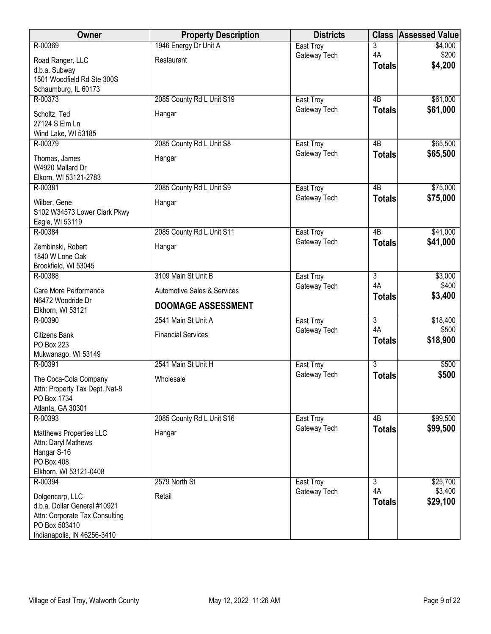| Owner                                          | <b>Property Description</b>            | <b>Districts</b>          |                      | <b>Class Assessed Value</b> |
|------------------------------------------------|----------------------------------------|---------------------------|----------------------|-----------------------------|
| R-00369                                        | 1946 Energy Dr Unit A                  | East Troy                 | 3                    | \$4,000                     |
| Road Ranger, LLC                               | Restaurant                             | Gateway Tech              | 4A<br><b>Totals</b>  | \$200<br>\$4,200            |
| d.b.a. Subway<br>1501 Woodfield Rd Ste 300S    |                                        |                           |                      |                             |
| Schaumburg, IL 60173                           |                                        |                           |                      |                             |
| R-00373                                        | 2085 County Rd L Unit S19              | East Troy                 | 4B                   | \$61,000                    |
| Scholtz, Ted                                   | Hangar                                 | Gateway Tech              | <b>Totals</b>        | \$61,000                    |
| 27124 S Elm Ln                                 |                                        |                           |                      |                             |
| Wind Lake, WI 53185                            |                                        |                           |                      |                             |
| R-00379                                        | 2085 County Rd L Unit S8               | East Troy                 | 4B                   | \$65,500                    |
| Thomas, James                                  | Hangar                                 | Gateway Tech              | <b>Totals</b>        | \$65,500                    |
| W4920 Mallard Dr                               |                                        |                           |                      |                             |
| Elkorn, WI 53121-2783<br>R-00381               | 2085 County Rd L Unit S9               | East Troy                 | 4B                   | \$75,000                    |
|                                                |                                        | Gateway Tech              | <b>Totals</b>        | \$75,000                    |
| Wilber, Gene<br>S102 W34573 Lower Clark Pkwy   | Hangar                                 |                           |                      |                             |
| Eagle, WI 53119                                |                                        |                           |                      |                             |
| R-00384                                        | 2085 County Rd L Unit S11              | East Troy                 | 4B                   | \$41,000                    |
| Zembinski, Robert                              | Hangar                                 | Gateway Tech              | <b>Totals</b>        | \$41,000                    |
| 1840 W Lone Oak                                |                                        |                           |                      |                             |
| Brookfield, WI 53045                           |                                        |                           |                      |                             |
| R-00388                                        | 3109 Main St Unit B                    | East Troy                 | $\overline{3}$<br>4A | \$3,000<br>\$400            |
| Care More Performance                          | <b>Automotive Sales &amp; Services</b> | Gateway Tech              | <b>Totals</b>        | \$3,400                     |
| N6472 Woodride Dr<br>Elkhorn, WI 53121         | <b>DOOMAGE ASSESSMENT</b>              |                           |                      |                             |
| R-00390                                        | 2541 Main St Unit A                    | East Troy                 | $\overline{3}$       | \$18,400                    |
| <b>Citizens Bank</b>                           | <b>Financial Services</b>              | Gateway Tech              | 4A                   | \$500                       |
| <b>PO Box 223</b>                              |                                        |                           | <b>Totals</b>        | \$18,900                    |
| Mukwanago, WI 53149                            |                                        |                           | $\overline{3}$       |                             |
| R-00391                                        | 2541 Main St Unit H                    | East Troy<br>Gateway Tech | <b>Totals</b>        | \$500<br>\$500              |
| The Coca-Cola Company                          | Wholesale                              |                           |                      |                             |
| Attn: Property Tax Dept., Nat-8<br>PO Box 1734 |                                        |                           |                      |                             |
| Atlanta, GA 30301                              |                                        |                           |                      |                             |
| R-00393                                        | 2085 County Rd L Unit S16              | East Troy                 | 4B                   | \$99,500                    |
| Matthews Properties LLC                        | Hangar                                 | Gateway Tech              | <b>Totals</b>        | \$99,500                    |
| Attn: Daryl Mathews                            |                                        |                           |                      |                             |
| Hangar S-16<br>PO Box 408                      |                                        |                           |                      |                             |
| Elkhorn, WI 53121-0408                         |                                        |                           |                      |                             |
| R-00394                                        | 2579 North St                          | East Troy                 | $\overline{3}$       | \$25,700                    |
| Dolgencorp, LLC                                | Retail                                 | Gateway Tech              | 4A                   | \$3,400                     |
| d.b.a. Dollar General #10921                   |                                        |                           | <b>Totals</b>        | \$29,100                    |
| Attn: Corporate Tax Consulting                 |                                        |                           |                      |                             |
| PO Box 503410                                  |                                        |                           |                      |                             |
| Indianapolis, IN 46256-3410                    |                                        |                           |                      |                             |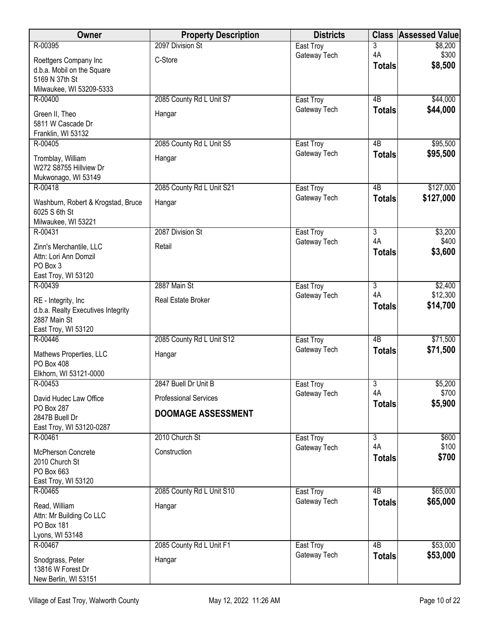| Owner                                            | <b>Property Description</b>  | <b>Districts</b>          | <b>Class</b>         | <b>Assessed Value</b>  |
|--------------------------------------------------|------------------------------|---------------------------|----------------------|------------------------|
| R-00395                                          | 2097 Division St             | East Troy                 | 3                    | \$8,200                |
| Roettgers Company Inc                            | C-Store                      | Gateway Tech              | 4A<br><b>Totals</b>  | \$300<br>\$8,500       |
| d.b.a. Mobil on the Square                       |                              |                           |                      |                        |
| 5169 N 37th St<br>Milwaukee, WI 53209-5333       |                              |                           |                      |                        |
| R-00400                                          | 2085 County Rd L Unit S7     | East Troy                 | 4B                   | \$44,000               |
| Green II, Theo                                   | Hangar                       | Gateway Tech              | <b>Totals</b>        | \$44,000               |
| 5811 W Cascade Dr                                |                              |                           |                      |                        |
| Franklin, WI 53132                               |                              |                           |                      |                        |
| R-00405                                          | 2085 County Rd L Unit S5     | East Troy                 | 4B                   | \$95,500               |
| Tromblay, William                                | Hangar                       | Gateway Tech              | <b>Totals</b>        | \$95,500               |
| W272 S8755 Hillview Dr                           |                              |                           |                      |                        |
| Mukwonago, WI 53149                              |                              |                           |                      |                        |
| R-00418                                          | 2085 County Rd L Unit S21    | East Troy<br>Gateway Tech | $\overline{AB}$      | \$127,000<br>\$127,000 |
| Washburn, Robert & Krogstad, Bruce               | Hangar                       |                           | <b>Totals</b>        |                        |
| 6025 S 6th St<br>Milwaukee, WI 53221             |                              |                           |                      |                        |
| R-00431                                          | 2087 Division St             | East Troy                 | 3                    | \$3,200                |
|                                                  | Retail                       | Gateway Tech              | 4A                   | \$400                  |
| Zinn's Merchantile, LLC<br>Attn: Lori Ann Domzil |                              |                           | <b>Totals</b>        | \$3,600                |
| PO Box 3                                         |                              |                           |                      |                        |
| East Troy, WI 53120                              |                              |                           |                      |                        |
| R-00439                                          | 2887 Main St                 | East Troy                 | 3                    | \$2,400                |
| RE - Integrity, Inc                              | Real Estate Broker           | Gateway Tech              | 4A                   | \$12,300               |
| d.b.a. Realty Executives Integrity               |                              |                           | <b>Totals</b>        | \$14,700               |
| 2887 Main St                                     |                              |                           |                      |                        |
| East Troy, WI 53120<br>R-00446                   | 2085 County Rd L Unit S12    | East Troy                 | $\overline{AB}$      | \$71,500               |
|                                                  |                              | Gateway Tech              | <b>Totals</b>        | \$71,500               |
| Mathews Properties, LLC                          | Hangar                       |                           |                      |                        |
| PO Box 408<br>Elkhorn, WI 53121-0000             |                              |                           |                      |                        |
| R-00453                                          | 2847 Buell Dr Unit B         | East Troy                 | 3                    | \$5,200                |
| David Hudec Law Office                           | <b>Professional Services</b> | Gateway Tech              | 4A                   | \$700                  |
| PO Box 287                                       |                              |                           | <b>Totals</b>        | \$5,900                |
| 2847B Buell Dr                                   | <b>DOOMAGE ASSESSMENT</b>    |                           |                      |                        |
| East Troy, WI 53120-0287                         |                              |                           |                      |                        |
| R-00461                                          | 2010 Church St               | East Troy                 | $\overline{3}$<br>4A | \$600<br>\$100         |
| McPherson Concrete                               | Construction                 | Gateway Tech              | <b>Totals</b>        | \$700                  |
| 2010 Church St                                   |                              |                           |                      |                        |
| PO Box 663<br>East Troy, WI 53120                |                              |                           |                      |                        |
| R-00465                                          | 2085 County Rd L Unit S10    | East Troy                 | 4B                   | \$65,000               |
|                                                  |                              | Gateway Tech              | <b>Totals</b>        | \$65,000               |
| Read, William<br>Attn: Mr Building Co LLC        | Hangar                       |                           |                      |                        |
| PO Box 181                                       |                              |                           |                      |                        |
| Lyons, WI 53148                                  |                              |                           |                      |                        |
| R-00467                                          | 2085 County Rd L Unit F1     | East Troy                 | 4B                   | \$53,000               |
| Snodgrass, Peter                                 | Hangar                       | Gateway Tech              | <b>Totals</b>        | \$53,000               |
| 13816 W Forest Dr                                |                              |                           |                      |                        |
| New Berlin, WI 53151                             |                              |                           |                      |                        |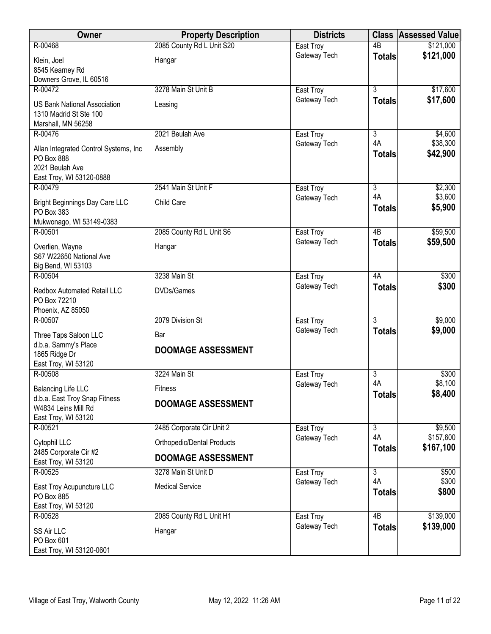| Owner                                               | <b>Property Description</b> | <b>Districts</b>          |                     | <b>Class Assessed Value</b> |
|-----------------------------------------------------|-----------------------------|---------------------------|---------------------|-----------------------------|
| R-00468                                             | 2085 County Rd L Unit S20   | East Troy                 | $\overline{AB}$     | \$121,000                   |
| Klein, Joel                                         | Hangar                      | Gateway Tech              | <b>Totals</b>       | \$121,000                   |
| 8545 Kearney Rd                                     |                             |                           |                     |                             |
| Downers Grove, IL 60516                             |                             |                           |                     |                             |
| R-00472                                             | 3278 Main St Unit B         | East Troy<br>Gateway Tech | $\overline{3}$      | \$17,600<br>\$17,600        |
| <b>US Bank National Association</b>                 | Leasing                     |                           | <b>Totals</b>       |                             |
| 1310 Madrid St Ste 100                              |                             |                           |                     |                             |
| Marshall, MN 56258<br>R-00476                       | 2021 Beulah Ave             | East Troy                 | 3                   | \$4,600                     |
|                                                     |                             | Gateway Tech              | 4A                  | \$38,300                    |
| Allan Integrated Control Systems, Inc<br>PO Box 888 | Assembly                    |                           | <b>Totals</b>       | \$42,900                    |
| 2021 Beulah Ave                                     |                             |                           |                     |                             |
| East Troy, WI 53120-0888                            |                             |                           |                     |                             |
| R-00479                                             | 2541 Main St Unit F         | East Troy                 | $\overline{3}$      | \$2,300                     |
| <b>Bright Beginnings Day Care LLC</b>               | Child Care                  | Gateway Tech              | 4A                  | \$3,600                     |
| PO Box 383                                          |                             |                           | <b>Totals</b>       | \$5,900                     |
| Mukwonago, WI 53149-0383                            |                             |                           |                     |                             |
| R-00501                                             | 2085 County Rd L Unit S6    | East Troy                 | 4B                  | \$59,500                    |
| Overlien, Wayne                                     | Hangar                      | Gateway Tech              | <b>Totals</b>       | \$59,500                    |
| S67 W22650 National Ave                             |                             |                           |                     |                             |
| Big Bend, WI 53103                                  |                             |                           |                     |                             |
| R-00504                                             | 3238 Main St                | East Troy<br>Gateway Tech | 4A<br><b>Totals</b> | \$300<br>\$300              |
| Redbox Automated Retail LLC                         | DVDs/Games                  |                           |                     |                             |
| PO Box 72210<br>Phoenix, AZ 85050                   |                             |                           |                     |                             |
| R-00507                                             | 2079 Division St            | East Troy                 | $\overline{3}$      | \$9,000                     |
|                                                     |                             | Gateway Tech              | <b>Totals</b>       | \$9,000                     |
| Three Taps Saloon LLC<br>d.b.a. Sammy's Place       | Bar                         |                           |                     |                             |
| 1865 Ridge Dr                                       | <b>DOOMAGE ASSESSMENT</b>   |                           |                     |                             |
| East Troy, WI 53120                                 |                             |                           |                     |                             |
| R-00508                                             | 3224 Main St                | East Troy                 | 3                   | \$300                       |
| <b>Balancing Life LLC</b>                           | Fitness                     | Gateway Tech              | 4A<br><b>Totals</b> | \$8,100<br>\$8,400          |
| d.b.a. East Troy Snap Fitness                       | <b>DOOMAGE ASSESSMENT</b>   |                           |                     |                             |
| W4834 Leins Mill Rd                                 |                             |                           |                     |                             |
| East Troy, WI 53120<br>R-00521                      | 2485 Corporate Cir Unit 2   | East Troy                 | 3                   | \$9,500                     |
| Cytophil LLC                                        | Orthopedic/Dental Products  | Gateway Tech              | 4A                  | \$157,600                   |
| 2485 Corporate Cir #2                               |                             |                           | <b>Totals</b>       | \$167,100                   |
| East Troy, WI 53120                                 | <b>DOOMAGE ASSESSMENT</b>   |                           |                     |                             |
| R-00525                                             | 3278 Main St Unit D         | East Troy                 | 3                   | \$500                       |
| East Troy Acupuncture LLC                           | <b>Medical Service</b>      | Gateway Tech              | 4A                  | \$300<br>\$800              |
| PO Box 885                                          |                             |                           | <b>Totals</b>       |                             |
| East Troy, WI 53120                                 |                             |                           |                     |                             |
| R-00528                                             | 2085 County Rd L Unit H1    | East Troy<br>Gateway Tech | 4B<br><b>Totals</b> | \$139,000<br>\$139,000      |
| SS Air LLC                                          | Hangar                      |                           |                     |                             |
| PO Box 601<br>East Troy, WI 53120-0601              |                             |                           |                     |                             |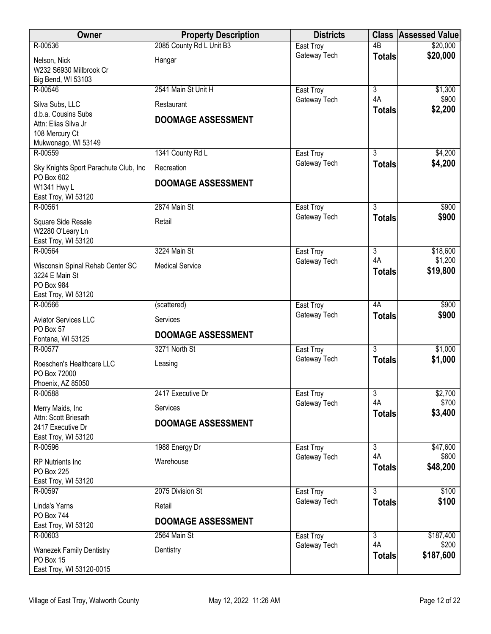| <b>Owner</b>                                                                                            | <b>Property Description</b>             | <b>Districts</b> |                     | <b>Class Assessed Value</b> |
|---------------------------------------------------------------------------------------------------------|-----------------------------------------|------------------|---------------------|-----------------------------|
| R-00536                                                                                                 | 2085 County Rd L Unit B3                | East Troy        | 4B                  | \$20,000                    |
| Nelson, Nick<br>W232 S6930 Millbrook Cr<br>Big Bend, WI 53103                                           | Hangar                                  | Gateway Tech     | <b>Totals</b>       | \$20,000                    |
| R-00546                                                                                                 | 2541 Main St Unit H                     | East Troy        | $\overline{3}$      | \$1,300                     |
| Silva Subs, LLC<br>d.b.a. Cousins Subs<br>Attn: Elias Silva Jr<br>108 Mercury Ct<br>Mukwonago, WI 53149 | Restaurant<br><b>DOOMAGE ASSESSMENT</b> | Gateway Tech     | 4A<br><b>Totals</b> | \$900<br>\$2,200            |
| R-00559                                                                                                 | 1341 County Rd L                        | East Troy        | 3                   | \$4,200                     |
| Sky Knights Sport Parachute Club, Inc<br>PO Box 602                                                     | Recreation<br><b>DOOMAGE ASSESSMENT</b> | Gateway Tech     | <b>Totals</b>       | \$4,200                     |
| W1341 Hwy L<br>East Troy, WI 53120                                                                      |                                         |                  |                     |                             |
| R-00561                                                                                                 | 2874 Main St                            | East Troy        | $\overline{3}$      | \$900                       |
| Square Side Resale<br>W2280 O'Leary Ln<br>East Troy, WI 53120                                           | Retail                                  | Gateway Tech     | <b>Totals</b>       | \$900                       |
| R-00564                                                                                                 | 3224 Main St                            | East Troy        | $\overline{3}$      | \$18,600                    |
| Wisconsin Spinal Rehab Center SC<br>3224 E Main St<br>PO Box 984<br>East Troy, WI 53120                 | <b>Medical Service</b>                  | Gateway Tech     | 4A<br><b>Totals</b> | \$1,200<br>\$19,800         |
| R-00566                                                                                                 | (scattered)                             | East Troy        | 4A                  | \$900                       |
| <b>Aviator Services LLC</b><br>PO Box 57                                                                | Services<br><b>DOOMAGE ASSESSMENT</b>   | Gateway Tech     | <b>Totals</b>       | \$900                       |
| Fontana, WI 53125<br>R-00577                                                                            | 3271 North St                           | East Troy        | $\overline{3}$      | \$1,000                     |
| Roeschen's Healthcare LLC<br>PO Box 72000<br>Phoenix, AZ 85050                                          | Leasing                                 | Gateway Tech     | <b>Totals</b>       | \$1,000                     |
| R-00588                                                                                                 | 2417 Executive Dr                       | East Troy        | $\overline{3}$      | \$2,700                     |
| Merry Maids, Inc                                                                                        | Services                                | Gateway Tech     | 4A<br><b>Totals</b> | \$700<br>\$3,400            |
| Attn: Scott Briesath<br>2417 Executive Dr<br>East Troy, WI 53120                                        | <b>DOOMAGE ASSESSMENT</b>               |                  |                     |                             |
| R-00596                                                                                                 | 1988 Energy Dr                          | East Troy        | $\overline{3}$      | \$47,600                    |
| <b>RP</b> Nutrients Inc<br>PO Box 225<br>East Troy, WI 53120                                            | Warehouse                               | Gateway Tech     | 4A<br><b>Totals</b> | \$600<br>\$48,200           |
| R-00597                                                                                                 | 2075 Division St                        | East Troy        | 3                   | \$100                       |
| Linda's Yarns<br><b>PO Box 744</b>                                                                      | Retail<br><b>DOOMAGE ASSESSMENT</b>     | Gateway Tech     | <b>Totals</b>       | \$100                       |
| East Troy, WI 53120<br>R-00603                                                                          | 2564 Main St                            | East Troy        | $\overline{3}$      | \$187,400                   |
| <b>Wanezek Family Dentistry</b><br>PO Box 15<br>East Troy, WI 53120-0015                                | Dentistry                               | Gateway Tech     | 4A<br><b>Totals</b> | \$200<br>\$187,600          |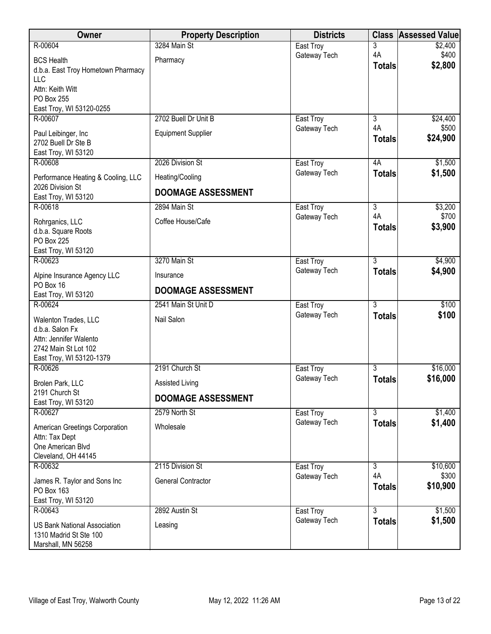| Owner                                                         | <b>Property Description</b> | <b>Districts</b> | <b>Class</b>        | <b>Assessed Value</b> |
|---------------------------------------------------------------|-----------------------------|------------------|---------------------|-----------------------|
| R-00604                                                       | 3284 Main St                | East Troy        | 3                   | \$2,400               |
| <b>BCS Health</b>                                             | Pharmacy                    | Gateway Tech     | 4A<br><b>Totals</b> | \$400<br>\$2,800      |
| d.b.a. East Troy Hometown Pharmacy<br><b>LLC</b>              |                             |                  |                     |                       |
| Attn: Keith Witt                                              |                             |                  |                     |                       |
| PO Box 255                                                    |                             |                  |                     |                       |
| East Troy, WI 53120-0255<br>R-00607                           | 2702 Buell Dr Unit B        | East Troy        | $\overline{3}$      | \$24,400              |
|                                                               |                             | Gateway Tech     | 4A                  | \$500                 |
| Paul Leibinger, Inc<br>2702 Buell Dr Ste B                    | <b>Equipment Supplier</b>   |                  | <b>Totals</b>       | \$24,900              |
| East Troy, WI 53120                                           |                             |                  |                     |                       |
| R-00608                                                       | 2026 Division St            | East Troy        | 4A                  | \$1,500               |
| Performance Heating & Cooling, LLC                            | Heating/Cooling             | Gateway Tech     | <b>Totals</b>       | \$1,500               |
| 2026 Division St<br>East Troy, WI 53120                       | <b>DOOMAGE ASSESSMENT</b>   |                  |                     |                       |
| R-00618                                                       | 2894 Main St                | East Troy        | $\overline{3}$      | \$3,200               |
| Rohrganics, LLC                                               | Coffee House/Cafe           | Gateway Tech     | 4A<br><b>Totals</b> | \$700<br>\$3,900      |
| d.b.a. Square Roots<br><b>PO Box 225</b>                      |                             |                  |                     |                       |
| East Troy, WI 53120                                           |                             |                  |                     |                       |
| R-00623                                                       | 3270 Main St                | East Troy        | $\overline{3}$      | \$4,900               |
| Alpine Insurance Agency LLC                                   | Insurance                   | Gateway Tech     | <b>Totals</b>       | \$4,900               |
| PO Box 16                                                     | <b>DOOMAGE ASSESSMENT</b>   |                  |                     |                       |
| East Troy, WI 53120<br>R-00624                                | 2541 Main St Unit D         | East Troy        | $\overline{3}$      | \$100                 |
| Walenton Trades, LLC                                          | Nail Salon                  | Gateway Tech     | <b>Totals</b>       | \$100                 |
| d.b.a. Salon Fx                                               |                             |                  |                     |                       |
| Attn: Jennifer Walento                                        |                             |                  |                     |                       |
| 2742 Main St Lot 102<br>East Troy, WI 53120-1379              |                             |                  |                     |                       |
| R-00626                                                       | 2191 Church St              | East Troy        | 3                   | \$16,000              |
| Brolen Park, LLC                                              | Assisted Living             | Gateway Tech     | <b>Totals</b>       | \$16,000              |
| 2191 Church St<br>East Troy, WI 53120                         | <b>DOOMAGE ASSESSMENT</b>   |                  |                     |                       |
| R-00627                                                       | 2579 North St               | East Troy        | $\overline{3}$      | \$1,400               |
| American Greetings Corporation                                | Wholesale                   | Gateway Tech     | <b>Totals</b>       | \$1,400               |
| Attn: Tax Dept                                                |                             |                  |                     |                       |
| One American Blvd<br>Cleveland, OH 44145                      |                             |                  |                     |                       |
| R-00632                                                       | 2115 Division St            | East Troy        | $\overline{3}$      | \$10,600              |
| James R. Taylor and Sons Inc                                  | <b>General Contractor</b>   | Gateway Tech     | 4A                  | \$300                 |
| PO Box 163                                                    |                             |                  | <b>Totals</b>       | \$10,900              |
| East Troy, WI 53120<br>R-00643                                | 2892 Austin St              | East Troy        | $\overline{3}$      | \$1,500               |
|                                                               |                             | Gateway Tech     | <b>Totals</b>       | \$1,500               |
| <b>US Bank National Association</b><br>1310 Madrid St Ste 100 | Leasing                     |                  |                     |                       |
| Marshall, MN 56258                                            |                             |                  |                     |                       |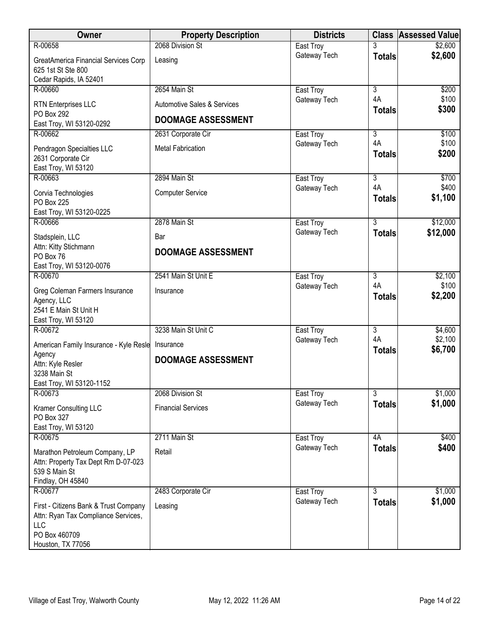| Owner                                                      | <b>Property Description</b>            | <b>Districts</b>          |                      | <b>Class Assessed Value</b> |
|------------------------------------------------------------|----------------------------------------|---------------------------|----------------------|-----------------------------|
| R-00658                                                    | 2068 Division St                       | East Troy                 |                      | \$2,600                     |
| GreatAmerica Financial Services Corp<br>625 1st St Ste 800 | Leasing                                | Gateway Tech              | <b>Totals</b>        | \$2,600                     |
| Cedar Rapids, IA 52401                                     |                                        |                           |                      |                             |
| R-00660                                                    | 2654 Main St                           | East Troy                 | $\overline{3}$       | \$200                       |
| <b>RTN Enterprises LLC</b><br>PO Box 292                   | <b>Automotive Sales &amp; Services</b> | Gateway Tech              | 4A<br><b>Totals</b>  | \$100<br>\$300              |
| East Troy, WI 53120-0292                                   | <b>DOOMAGE ASSESSMENT</b>              |                           |                      |                             |
| R-00662                                                    | 2631 Corporate Cir                     | East Troy                 | 3                    | \$100                       |
| Pendragon Specialties LLC<br>2631 Corporate Cir            | <b>Metal Fabrication</b>               | Gateway Tech              | 4A<br><b>Totals</b>  | \$100<br>\$200              |
| East Troy, WI 53120                                        |                                        |                           |                      |                             |
| R-00663                                                    | 2894 Main St                           | East Troy                 | $\overline{3}$       | \$700                       |
| Corvia Technologies<br><b>PO Box 225</b>                   | <b>Computer Service</b>                | Gateway Tech              | 4A<br><b>Totals</b>  | \$400<br>\$1,100            |
| East Troy, WI 53120-0225                                   |                                        |                           |                      |                             |
| R-00666                                                    | 2878 Main St                           | East Troy                 | $\overline{3}$       | \$12,000                    |
| Stadsplein, LLC                                            | Bar                                    | Gateway Tech              | <b>Totals</b>        | \$12,000                    |
| Attn: Kitty Stichmann                                      | <b>DOOMAGE ASSESSMENT</b>              |                           |                      |                             |
| PO Box 76                                                  |                                        |                           |                      |                             |
| East Troy, WI 53120-0076                                   |                                        |                           |                      |                             |
| R-00670                                                    | 2541 Main St Unit E                    | East Troy                 | 3<br>4A              | \$2,100                     |
| Greg Coleman Farmers Insurance                             | Insurance                              | Gateway Tech              |                      | \$100<br>\$2,200            |
| Agency, LLC                                                |                                        |                           | <b>Totals</b>        |                             |
| 2541 E Main St Unit H                                      |                                        |                           |                      |                             |
| East Troy, WI 53120                                        |                                        |                           |                      |                             |
| R-00672                                                    | 3238 Main St Unit C                    | East Troy                 | $\overline{3}$<br>4A | \$4,600                     |
| American Family Insurance - Kyle Resle                     | Insurance                              | Gateway Tech              |                      | \$2,100<br>\$6,700          |
| Agency                                                     | <b>DOOMAGE ASSESSMENT</b>              |                           | <b>Totals</b>        |                             |
| Attn: Kyle Resler                                          |                                        |                           |                      |                             |
| 3238 Main St                                               |                                        |                           |                      |                             |
| East Troy, WI 53120-1152<br>R-00673                        | 2068 Division St                       | East Troy                 | $\overline{3}$       | \$1,000                     |
|                                                            |                                        | Gateway Tech              | <b>Totals</b>        | \$1,000                     |
| Kramer Consulting LLC                                      | <b>Financial Services</b>              |                           |                      |                             |
| PO Box 327                                                 |                                        |                           |                      |                             |
| East Troy, WI 53120                                        | 2711 Main St                           |                           | 4A                   | \$400                       |
| R-00675                                                    |                                        | East Troy<br>Gateway Tech |                      | \$400                       |
| Marathon Petroleum Company, LP                             | Retail                                 |                           | <b>Totals</b>        |                             |
| Attn: Property Tax Dept Rm D-07-023                        |                                        |                           |                      |                             |
| 539 S Main St                                              |                                        |                           |                      |                             |
| Findlay, OH 45840<br>R-00677                               | 2483 Corporate Cir                     | East Troy                 | $\overline{3}$       | \$1,000                     |
|                                                            |                                        | Gateway Tech              |                      | \$1,000                     |
| First - Citizens Bank & Trust Company                      | Leasing                                |                           | <b>Totals</b>        |                             |
| Attn: Ryan Tax Compliance Services,                        |                                        |                           |                      |                             |
| LLC<br>PO Box 460709                                       |                                        |                           |                      |                             |
| Houston, TX 77056                                          |                                        |                           |                      |                             |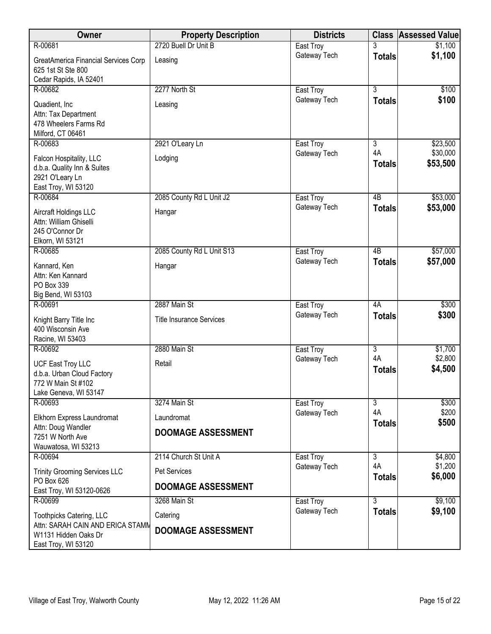| Owner                                                                                                       | <b>Property Description</b>               | <b>Districts</b> |                     | <b>Class Assessed Value</b> |
|-------------------------------------------------------------------------------------------------------------|-------------------------------------------|------------------|---------------------|-----------------------------|
| R-00681                                                                                                     | 2720 Buell Dr Unit B                      | East Troy        |                     | \$1,100                     |
| <b>GreatAmerica Financial Services Corp</b><br>625 1st St Ste 800                                           | Leasing                                   | Gateway Tech     | <b>Totals</b>       | \$1,100                     |
| Cedar Rapids, IA 52401<br>R-00682                                                                           | 2277 North St                             | East Troy        | $\overline{3}$      | \$100                       |
| Quadient, Inc<br>Attn: Tax Department<br>478 Wheelers Farms Rd<br>Milford, CT 06461                         | Leasing                                   | Gateway Tech     | <b>Totals</b>       | \$100                       |
| R-00683                                                                                                     | 2921 O'Leary Ln                           | East Troy        | 3                   | \$23,500                    |
| Falcon Hospitality, LLC<br>d.b.a. Quality Inn & Suites<br>2921 O'Leary Ln<br>East Troy, WI 53120            | Lodging                                   | Gateway Tech     | 4A<br><b>Totals</b> | \$30,000<br>\$53,500        |
| R-00684                                                                                                     | 2085 County Rd L Unit J2                  | East Troy        | $\overline{AB}$     | \$53,000                    |
| Aircraft Holdings LLC<br>Attn: William Ghiselli<br>245 O'Connor Dr<br>Elkorn, WI 53121                      | Hangar                                    | Gateway Tech     | <b>Totals</b>       | \$53,000                    |
| R-00685                                                                                                     | 2085 County Rd L Unit S13                 | East Troy        | $\overline{AB}$     | \$57,000                    |
| Kannard, Ken<br>Attn: Ken Kannard<br>PO Box 339<br>Big Bend, WI 53103                                       | Hangar                                    | Gateway Tech     | <b>Totals</b>       | \$57,000                    |
| R-00691                                                                                                     | 2887 Main St                              | East Troy        | 4A                  | \$300                       |
| Knight Barry Title Inc<br>400 Wisconsin Ave<br>Racine, WI 53403                                             | <b>Title Insurance Services</b>           | Gateway Tech     | <b>Totals</b>       | \$300                       |
| R-00692                                                                                                     | 2880 Main St                              | East Troy        | $\overline{3}$      | \$1,700                     |
| <b>UCF East Troy LLC</b><br>d.b.a. Urban Cloud Factory<br>772 W Main St #102<br>Lake Geneva, WI 53147       | Retail                                    | Gateway Tech     | 4A<br><b>Totals</b> | \$2,800<br>\$4,500          |
| R-00693                                                                                                     | 3274 Main St                              | East Troy        | $\overline{3}$      | \$300                       |
| Elkhorn Express Laundromat                                                                                  | Laundromat                                | Gateway Tech     | 4A<br><b>Totals</b> | \$200<br>\$500              |
| Attn: Doug Wandler<br>7251 W North Ave<br>Wauwatosa, WI 53213                                               | <b>DOOMAGE ASSESSMENT</b>                 |                  |                     |                             |
| R-00694                                                                                                     | 2114 Church St Unit A                     | East Troy        | 3                   | \$4,800                     |
| <b>Trinity Grooming Services LLC</b><br>PO Box 626                                                          | Pet Services<br><b>DOOMAGE ASSESSMENT</b> | Gateway Tech     | 4A<br><b>Totals</b> | \$1,200<br>\$6,000          |
| East Troy, WI 53120-0626<br>R-00699                                                                         | 3268 Main St                              | East Troy        | $\overline{3}$      | \$9,100                     |
|                                                                                                             |                                           | Gateway Tech     | <b>Totals</b>       | \$9,100                     |
| Toothpicks Catering, LLC<br>Attn: SARAH CAIN AND ERICA STAMM<br>W1131 Hidden Oaks Dr<br>East Troy, WI 53120 | Catering<br><b>DOOMAGE ASSESSMENT</b>     |                  |                     |                             |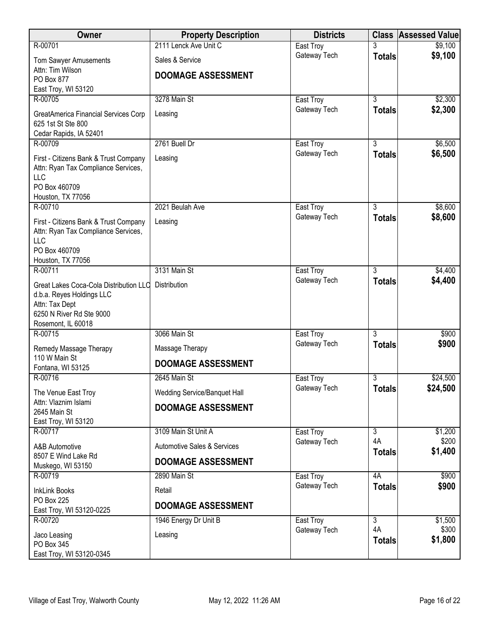| Owner                                             | <b>Property Description</b>            | <b>Districts</b>          | <b>Class</b>                    | <b>Assessed Value</b> |
|---------------------------------------------------|----------------------------------------|---------------------------|---------------------------------|-----------------------|
| R-00701                                           | 2111 Lenck Ave Unit C                  | East Troy                 |                                 | \$9,100               |
| Tom Sawyer Amusements                             | Sales & Service                        | Gateway Tech              | <b>Totals</b>                   | \$9,100               |
| Attn: Tim Wilson<br>PO Box 877                    | <b>DOOMAGE ASSESSMENT</b>              |                           |                                 |                       |
| East Troy, WI 53120                               |                                        |                           |                                 |                       |
| R-00705                                           | 3278 Main St                           | East Troy                 | 3                               | \$2,300               |
| GreatAmerica Financial Services Corp              | Leasing                                | Gateway Tech              | <b>Totals</b>                   | \$2,300               |
| 625 1st St Ste 800                                |                                        |                           |                                 |                       |
| Cedar Rapids, IA 52401                            |                                        |                           |                                 |                       |
| R-00709                                           | 2761 Buell Dr                          | East Troy<br>Gateway Tech | $\overline{3}$<br><b>Totals</b> | \$6,500<br>\$6,500    |
| First - Citizens Bank & Trust Company             | Leasing                                |                           |                                 |                       |
| Attn: Ryan Tax Compliance Services,<br><b>LLC</b> |                                        |                           |                                 |                       |
| PO Box 460709                                     |                                        |                           |                                 |                       |
| Houston, TX 77056                                 |                                        |                           |                                 |                       |
| R-00710                                           | 2021 Beulah Ave                        | East Troy<br>Gateway Tech | $\overline{3}$                  | \$8,600<br>\$8,600    |
| First - Citizens Bank & Trust Company             | Leasing                                |                           | <b>Totals</b>                   |                       |
| Attn: Ryan Tax Compliance Services,<br><b>LLC</b> |                                        |                           |                                 |                       |
| PO Box 460709                                     |                                        |                           |                                 |                       |
| Houston, TX 77056                                 |                                        |                           |                                 |                       |
| R-00711                                           | 3131 Main St                           | East Troy<br>Gateway Tech | 3<br><b>Totals</b>              | \$4,400<br>\$4,400    |
| Great Lakes Coca-Cola Distribution LLC            | Distribution                           |                           |                                 |                       |
| d.b.a. Reyes Holdings LLC<br>Attn: Tax Dept       |                                        |                           |                                 |                       |
| 6250 N River Rd Ste 9000                          |                                        |                           |                                 |                       |
| Rosemont, IL 60018                                |                                        |                           |                                 |                       |
| R-00715                                           | 3066 Main St                           | East Troy<br>Gateway Tech | 3<br><b>Totals</b>              | \$900<br>\$900        |
| Remedy Massage Therapy<br>110 W Main St           | Massage Therapy                        |                           |                                 |                       |
| Fontana, WI 53125                                 | <b>DOOMAGE ASSESSMENT</b>              |                           |                                 |                       |
| R-00716                                           | 2645 Main St                           | East Troy                 | 3                               | \$24,500              |
| The Venue East Troy                               | Wedding Service/Banquet Hall           | Gateway Tech              | <b>Totals</b>                   | \$24,500              |
| Attn: Vlaznim Islami                              | <b>DOOMAGE ASSESSMENT</b>              |                           |                                 |                       |
| 2645 Main St<br>East Troy, WI 53120               |                                        |                           |                                 |                       |
| R-00717                                           | 3109 Main St Unit A                    | East Troy                 | $\overline{3}$                  | \$1,200               |
| A&B Automotive                                    | <b>Automotive Sales &amp; Services</b> | Gateway Tech              | 4A<br><b>Totals</b>             | \$200<br>\$1,400      |
| 8507 E Wind Lake Rd                               | <b>DOOMAGE ASSESSMENT</b>              |                           |                                 |                       |
| Muskego, WI 53150<br>R-00719                      | 2890 Main St                           | East Troy                 | 4A                              | \$900                 |
| <b>InkLink Books</b>                              | Retail                                 | Gateway Tech              | <b>Totals</b>                   | \$900                 |
| <b>PO Box 225</b>                                 |                                        |                           |                                 |                       |
| East Troy, WI 53120-0225                          | <b>DOOMAGE ASSESSMENT</b>              |                           |                                 |                       |
| R-00720                                           | 1946 Energy Dr Unit B                  | East Troy                 | 3<br>4A                         | \$1,500<br>\$300      |
| Jaco Leasing                                      | Leasing                                | Gateway Tech              | <b>Totals</b>                   | \$1,800               |
| PO Box 345<br>East Troy, WI 53120-0345            |                                        |                           |                                 |                       |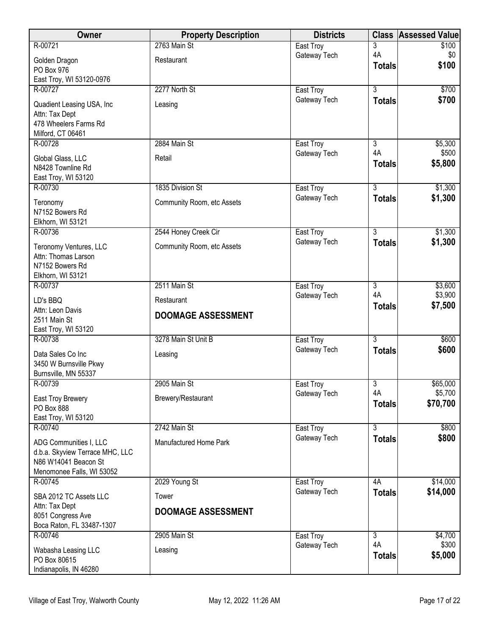| Owner                                                   | <b>Property Description</b> | <b>Districts</b>          | <b>Class</b>                    | <b>Assessed Value</b> |
|---------------------------------------------------------|-----------------------------|---------------------------|---------------------------------|-----------------------|
| R-00721                                                 | 2763 Main St                | East Troy                 | 3                               | \$100                 |
| Golden Dragon                                           | Restaurant                  | Gateway Tech              | 4A<br><b>Totals</b>             | \$0<br>\$100          |
| PO Box 976                                              |                             |                           |                                 |                       |
| East Troy, WI 53120-0976<br>R-00727                     | 2277 North St               | East Troy                 | $\overline{3}$                  | \$700                 |
|                                                         |                             | Gateway Tech              | <b>Totals</b>                   | \$700                 |
| Quadient Leasing USA, Inc<br>Attn: Tax Dept             | Leasing                     |                           |                                 |                       |
| 478 Wheelers Farms Rd                                   |                             |                           |                                 |                       |
| Milford, CT 06461                                       |                             |                           |                                 |                       |
| R-00728                                                 | 2884 Main St                | East Troy                 | $\overline{3}$                  | \$5,300               |
| Global Glass, LLC                                       | Retail                      | Gateway Tech              | 4A                              | \$500                 |
| N8428 Townline Rd                                       |                             |                           | <b>Totals</b>                   | \$5,800               |
| East Troy, WI 53120                                     |                             |                           |                                 |                       |
| R-00730                                                 | 1835 Division St            | East Troy<br>Gateway Tech | $\overline{3}$<br><b>Totals</b> | \$1,300<br>\$1,300    |
| Teronomy                                                | Community Room, etc Assets  |                           |                                 |                       |
| N7152 Bowers Rd<br>Elkhorn, WI 53121                    |                             |                           |                                 |                       |
| R-00736                                                 | 2544 Honey Creek Cir        | East Troy                 | $\overline{3}$                  | \$1,300               |
| Teronomy Ventures, LLC                                  | Community Room, etc Assets  | Gateway Tech              | <b>Totals</b>                   | \$1,300               |
| Attn: Thomas Larson                                     |                             |                           |                                 |                       |
| N7152 Bowers Rd                                         |                             |                           |                                 |                       |
| Elkhorn, WI 53121                                       |                             |                           |                                 |                       |
| R-00737                                                 | 2511 Main St                | East Troy                 | $\overline{3}$<br>4A            | \$3,600               |
| LD's BBQ                                                | Restaurant                  | Gateway Tech              | <b>Totals</b>                   | \$3,900<br>\$7,500    |
| Attn: Leon Davis                                        | <b>DOOMAGE ASSESSMENT</b>   |                           |                                 |                       |
| 2511 Main St<br>East Troy, WI 53120                     |                             |                           |                                 |                       |
| R-00738                                                 | 3278 Main St Unit B         | East Troy                 | $\overline{3}$                  | \$600                 |
| Data Sales Co Inc                                       | Leasing                     | Gateway Tech              | <b>Totals</b>                   | \$600                 |
| 3450 W Burnsville Pkwy                                  |                             |                           |                                 |                       |
| Burnsville, MN 55337                                    |                             |                           |                                 |                       |
| R-00739                                                 | 2905 Main St                | East Troy                 | 3                               | \$65,000              |
| East Troy Brewery                                       | Brewery/Restaurant          | Gateway Tech              | 4A                              | \$5,700               |
| PO Box 888                                              |                             |                           | <b>Totals</b>                   | \$70,700              |
| East Troy, WI 53120<br>R-00740                          | 2742 Main St                |                           |                                 |                       |
|                                                         |                             | East Troy<br>Gateway Tech | 3<br><b>Totals</b>              | \$800<br>\$800        |
| ADG Communities I, LLC                                  | Manufactured Home Park      |                           |                                 |                       |
| d.b.a. Skyview Terrace MHC, LLC<br>N86 W14041 Beacon St |                             |                           |                                 |                       |
| Menomonee Falls, WI 53052                               |                             |                           |                                 |                       |
| R-00745                                                 | 2029 Young St               | East Troy                 | 4A                              | \$14,000              |
| SBA 2012 TC Assets LLC                                  | Tower                       | Gateway Tech              | <b>Totals</b>                   | \$14,000              |
| Attn: Tax Dept                                          | <b>DOOMAGE ASSESSMENT</b>   |                           |                                 |                       |
| 8051 Congress Ave                                       |                             |                           |                                 |                       |
| Boca Raton, FL 33487-1307<br>R-00746                    | 2905 Main St                |                           | $\overline{3}$                  | \$4,700               |
|                                                         |                             | East Troy<br>Gateway Tech | 4A                              | \$300                 |
| Wabasha Leasing LLC<br>PO Box 80615                     | Leasing                     |                           | <b>Totals</b>                   | \$5,000               |
| Indianapolis, IN 46280                                  |                             |                           |                                 |                       |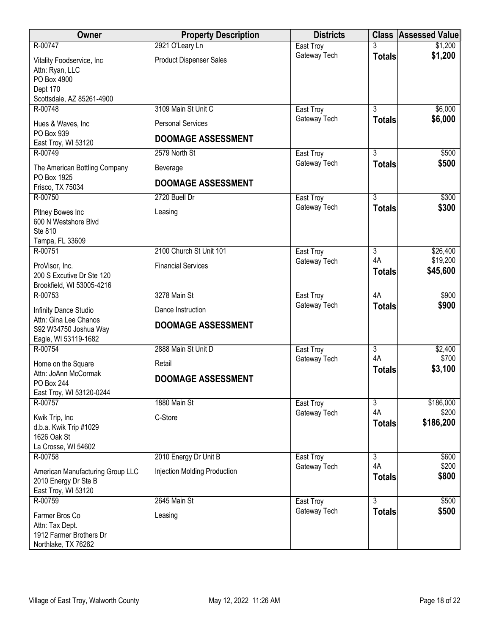| Owner                                                                                                | <b>Property Description</b>                           | <b>Districts</b>          |                          | <b>Class Assessed Value</b>     |
|------------------------------------------------------------------------------------------------------|-------------------------------------------------------|---------------------------|--------------------------|---------------------------------|
| R-00747                                                                                              | 2921 O'Leary Ln                                       | East Troy                 |                          | \$1,200                         |
| Vitality Foodservice, Inc<br>Attn: Ryan, LLC<br>PO Box 4900<br>Dept 170<br>Scottsdale, AZ 85261-4900 | <b>Product Dispenser Sales</b>                        | Gateway Tech              | <b>Totals</b>            | \$1,200                         |
| R-00748                                                                                              | 3109 Main St Unit C                                   | East Troy                 | $\overline{3}$           | \$6,000                         |
| Hues & Waves, Inc<br>PO Box 939<br>East Troy, WI 53120                                               | <b>Personal Services</b><br><b>DOOMAGE ASSESSMENT</b> | Gateway Tech              | <b>Totals</b>            | \$6,000                         |
| R-00749                                                                                              | 2579 North St                                         | East Troy                 | $\overline{3}$           | \$500                           |
| The American Bottling Company<br>PO Box 1925                                                         | Beverage                                              | Gateway Tech              | <b>Totals</b>            | \$500                           |
| Frisco, TX 75034                                                                                     | <b>DOOMAGE ASSESSMENT</b>                             |                           |                          |                                 |
| R-00750                                                                                              | 2720 Buell Dr                                         | East Troy                 | $\overline{3}$           | \$300                           |
| Pitney Bowes Inc<br>600 N Westshore Blvd<br>Ste 810<br>Tampa, FL 33609                               | Leasing                                               | Gateway Tech              | <b>Totals</b>            | \$300                           |
| R-00751                                                                                              | 2100 Church St Unit 101                               | East Troy                 | $\overline{3}$           | \$26,400                        |
| ProVisor, Inc.<br>200 S Excutive Dr Ste 120<br>Brookfield, WI 53005-4216                             | <b>Financial Services</b>                             | Gateway Tech              | 4A<br><b>Totals</b>      | \$19,200<br>\$45,600            |
| R-00753                                                                                              | 3278 Main St                                          | East Troy                 | 4A                       | \$900                           |
| Infinity Dance Studio<br>Attn: Gina Lee Chanos<br>S92 W34750 Joshua Way<br>Eagle, WI 53119-1682      | Dance Instruction<br><b>DOOMAGE ASSESSMENT</b>        | Gateway Tech              | <b>Totals</b>            | \$900                           |
| R-00754                                                                                              | 2888 Main St Unit D                                   | East Troy                 | $\overline{3}$           | \$2,400                         |
| Home on the Square<br>Attn: JoAnn McCormak<br>PO Box 244                                             | Retail<br><b>DOOMAGE ASSESSMENT</b>                   | Gateway Tech              | 4A<br><b>Totals</b>      | \$700<br>\$3,100                |
| East Troy, WI 53120-0244                                                                             |                                                       |                           |                          |                                 |
| R-00757<br>Kwik Trip, Inc<br>d.b.a. Kwik Trip #1029<br>1626 Oak St<br>La Crosse, WI 54602            | 1880 Main St<br>C-Store                               | East Troy<br>Gateway Tech | 3<br>4A<br><b>Totals</b> | \$186,000<br>\$200<br>\$186,200 |
| R-00758                                                                                              | 2010 Energy Dr Unit B                                 | East Troy                 | 3                        | \$600                           |
| American Manufacturing Group LLC<br>2010 Energy Dr Ste B<br>East Troy, WI 53120                      | <b>Injection Molding Production</b>                   | Gateway Tech              | 4A<br><b>Totals</b>      | \$200<br>\$800                  |
| R-00759                                                                                              | 2645 Main St                                          | East Troy                 | $\overline{3}$           | \$500                           |
| Farmer Bros Co<br>Attn: Tax Dept.<br>1912 Farmer Brothers Dr<br>Northlake, TX 76262                  | Leasing                                               | Gateway Tech              | <b>Totals</b>            | \$500                           |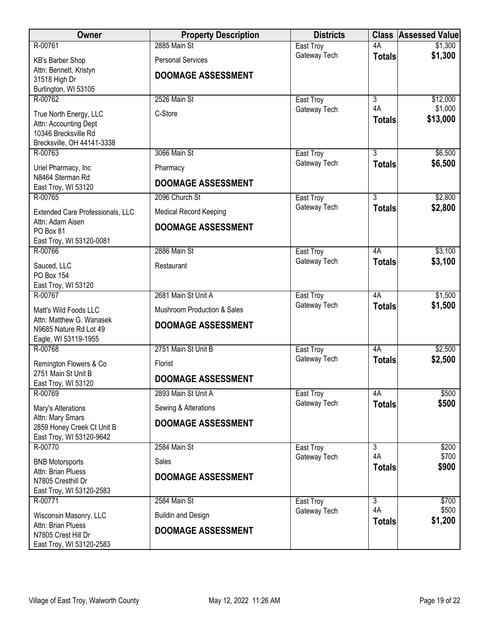| Owner                                                  | <b>Property Description</b>   | <b>Districts</b>          |                      | <b>Class Assessed Value</b> |
|--------------------------------------------------------|-------------------------------|---------------------------|----------------------|-----------------------------|
| R-00761                                                | 2885 Main St                  | East Troy                 | 4A                   | \$1,300                     |
| KB's Barber Shop                                       | <b>Personal Services</b>      | Gateway Tech              | <b>Totals</b>        | \$1,300                     |
| Attn: Bennett, Kristyn                                 | <b>DOOMAGE ASSESSMENT</b>     |                           |                      |                             |
| 31518 High Dr<br>Burlington, WI 53105                  |                               |                           |                      |                             |
| R-00762                                                | 2526 Main St                  | East Troy                 | $\overline{3}$       | \$12,000                    |
|                                                        | C-Store                       | Gateway Tech              | 4A                   | \$1,000                     |
| True North Energy, LLC<br>Attn: Accounting Dept        |                               |                           | <b>Totals</b>        | \$13,000                    |
| 10346 Brecksville Rd                                   |                               |                           |                      |                             |
| Brecksville, OH 44141-3338                             |                               |                           |                      |                             |
| R-00763                                                | 3066 Main St                  | East Troy                 | 3                    | \$6,500                     |
| Uriel Pharmacy, Inc                                    | Pharmacy                      | Gateway Tech              | <b>Totals</b>        | \$6,500                     |
| N8464 Sterman Rd<br>East Troy, WI 53120                | <b>DOOMAGE ASSESSMENT</b>     |                           |                      |                             |
| R-00765                                                | 2096 Church St                | East Troy                 | $\overline{3}$       | \$2,800                     |
| Extended Care Professionals, LLC                       | <b>Medical Record Keeping</b> | Gateway Tech              | <b>Totals</b>        | \$2,800                     |
| Attn: Adam Aisen<br>PO Box 81                          | <b>DOOMAGE ASSESSMENT</b>     |                           |                      |                             |
| East Troy, WI 53120-0081                               |                               |                           |                      |                             |
| R-00766                                                | 2886 Main St                  | East Troy                 | 4A                   | \$3,100                     |
| Sauced, LLC                                            | Restaurant                    | Gateway Tech              | <b>Totals</b>        | \$3,100                     |
| PO Box 154                                             |                               |                           |                      |                             |
| East Troy, WI 53120                                    |                               |                           |                      |                             |
| R-00767                                                | 2681 Main St Unit A           | East Troy                 | 4A                   | \$1,500                     |
| Matt's Wild Foods LLC                                  | Mushroom Production & Sales   | Gateway Tech              | <b>Totals</b>        | \$1,500                     |
| Attn: Matthew G. Wanasek                               | <b>DOOMAGE ASSESSMENT</b>     |                           |                      |                             |
| N9685 Nature Rd Lot 49<br>Eagle, WI 53119-1955         |                               |                           |                      |                             |
| R-00768                                                | 2751 Main St Unit B           | East Troy                 | 4A                   | \$2,500                     |
| Remington Flowers & Co                                 | Florist                       | Gateway Tech              | <b>Totals</b>        | \$2,500                     |
| 2751 Main St Unit B                                    |                               |                           |                      |                             |
| East Troy, WI 53120                                    | <b>DOOMAGE ASSESSMENT</b>     |                           |                      |                             |
| R-00769                                                | 2893 Main St Unit A           | East Troy                 | 4A                   | \$500                       |
| Mary's Alterations                                     | Sewing & Alterations          | Gateway Tech              | <b>Totals</b>        | \$500                       |
| Attn: Mary Smars                                       | <b>DOOMAGE ASSESSMENT</b>     |                           |                      |                             |
| 2859 Honey Creek Ct Unit B<br>East Troy, WI 53120-9642 |                               |                           |                      |                             |
| R-00770                                                | 2584 Main St                  | East Troy                 | 3                    | \$200                       |
| <b>BNB Motorsports</b>                                 | Sales                         | Gateway Tech              | 4A                   | \$700                       |
| Attn: Brian Pluess                                     |                               |                           | <b>Totals</b>        | \$900                       |
| N7805 Cresthill Dr                                     | <b>DOOMAGE ASSESSMENT</b>     |                           |                      |                             |
| East Troy, WI 53120-2583                               |                               |                           |                      |                             |
| R-00771                                                | 2584 Main St                  | East Troy<br>Gateway Tech | $\overline{3}$<br>4A | \$700<br>\$500              |
| Wisconsin Masonry, LLC                                 | <b>Buildin and Design</b>     |                           | <b>Totals</b>        | \$1,200                     |
| Attn: Brian Pluess<br>N7805 Crest Hill Dr              | <b>DOOMAGE ASSESSMENT</b>     |                           |                      |                             |
| East Troy, WI 53120-2583                               |                               |                           |                      |                             |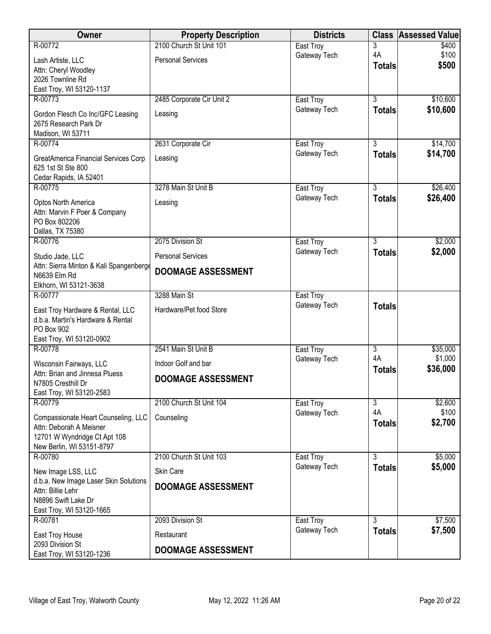| Owner                                                                                                                       | <b>Property Description</b> | <b>Districts</b> |                     | <b>Class Assessed Value</b> |
|-----------------------------------------------------------------------------------------------------------------------------|-----------------------------|------------------|---------------------|-----------------------------|
| R-00772                                                                                                                     | 2100 Church St Unit 101     | East Troy        | 3                   | \$400                       |
| Lash Artiste, LLC                                                                                                           | <b>Personal Services</b>    | Gateway Tech     | 4A<br><b>Totals</b> | \$100<br>\$500              |
| Attn: Cheryl Woodley                                                                                                        |                             |                  |                     |                             |
| 2026 Townline Rd<br>East Troy, WI 53120-1137                                                                                |                             |                  |                     |                             |
| R-00773                                                                                                                     | 2485 Corporate Cir Unit 2   | East Troy        | $\overline{3}$      | \$10,600                    |
| Gordon Flesch Co Inc/GFC Leasing<br>2675 Research Park Dr                                                                   | Leasing                     | Gateway Tech     | <b>Totals</b>       | \$10,600                    |
| Madison, WI 53711<br>R-00774                                                                                                | 2631 Corporate Cir          | East Troy        | $\overline{3}$      | \$14,700                    |
|                                                                                                                             |                             | Gateway Tech     | <b>Totals</b>       | \$14,700                    |
| GreatAmerica Financial Services Corp<br>625 1st St Ste 800<br>Cedar Rapids, IA 52401                                        | Leasing                     |                  |                     |                             |
| R-00775                                                                                                                     | 3278 Main St Unit B         | East Troy        | $\overline{3}$      | \$26,400                    |
| Optos North America<br>Attn: Marvin F Poer & Company<br>PO Box 802206                                                       | Leasing                     | Gateway Tech     | <b>Totals</b>       | \$26,400                    |
| Dallas, TX 75380                                                                                                            |                             |                  |                     |                             |
| R-00776                                                                                                                     | 2075 Division St            | East Troy        | 3                   | \$2,000                     |
| Studio Jade, LLC                                                                                                            | <b>Personal Services</b>    | Gateway Tech     | <b>Totals</b>       | \$2,000                     |
| Attn: Sierra Minton & Kali Spangenberge<br>N6639 Elm Rd<br>Elkhorn, WI 53121-3638                                           | <b>DOOMAGE ASSESSMENT</b>   |                  |                     |                             |
| R-00777                                                                                                                     | 3288 Main St                | East Troy        |                     |                             |
| East Troy Hardware & Rental, LLC<br>d.b.a. Martin's Hardware & Rental<br>PO Box 902<br>East Troy, WI 53120-0902             | Hardware/Pet food Store     | Gateway Tech     | <b>Totals</b>       |                             |
| R-00778                                                                                                                     | 2541 Main St Unit B         | East Troy        | $\overline{3}$      | \$35,000                    |
| Wisconsin Fairways, LLC                                                                                                     | Indoor Golf and bar         | Gateway Tech     | 4A                  | \$1,000                     |
| Attn: Brian and Jinnesa Pluess<br>N7805 Cresthill Dr<br>East Troy, WI 53120-2583                                            | <b>DOOMAGE ASSESSMENT</b>   |                  | <b>Totals</b>       | \$36,000                    |
| R-00779                                                                                                                     | 2100 Church St Unit 104     | East Troy        | 3                   | \$2,600                     |
| Compassionate Heart Counseling, LLC<br>Attn: Deborah A Meisner<br>12701 W Wyndridge Ct Apt 108<br>New Berlin, WI 53151-8797 | Counseling                  | Gateway Tech     | 4A<br><b>Totals</b> | \$100<br>\$2,700            |
| R-00780                                                                                                                     | 2100 Church St Unit 103     | East Troy        | $\overline{3}$      | \$5,000                     |
| New Image LSS, LLC                                                                                                          | Skin Care                   | Gateway Tech     | <b>Totals</b>       | \$5,000                     |
| d.b.a. New Image Laser Skin Solutions                                                                                       | <b>DOOMAGE ASSESSMENT</b>   |                  |                     |                             |
| Attn: Billie Lehr<br>N8896 Swift Lake Dr                                                                                    |                             |                  |                     |                             |
| East Troy, WI 53120-1665                                                                                                    |                             |                  |                     |                             |
| R-00781                                                                                                                     | 2093 Division St            | East Troy        | 3                   | \$7,500                     |
| East Troy House                                                                                                             | Restaurant                  | Gateway Tech     | <b>Totals</b>       | \$7,500                     |
| 2093 Division St<br>East Troy, WI 53120-1236                                                                                | <b>DOOMAGE ASSESSMENT</b>   |                  |                     |                             |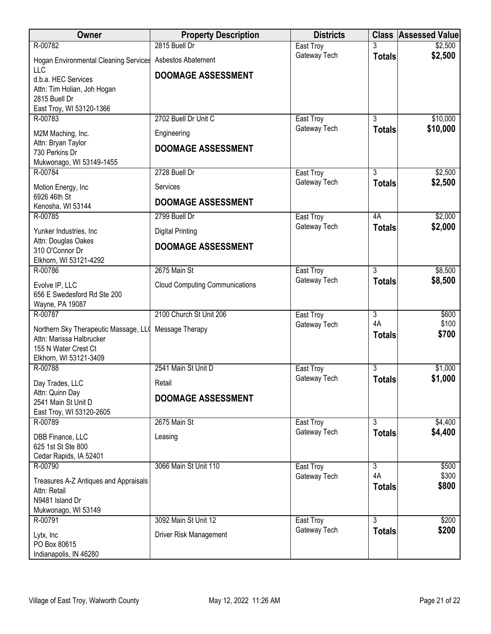| Owner                                                             | <b>Property Description</b>           | <b>Districts</b>          |                                 | <b>Class Assessed Value</b> |
|-------------------------------------------------------------------|---------------------------------------|---------------------------|---------------------------------|-----------------------------|
| R-00782                                                           | 2815 Buell Dr                         | East Troy                 |                                 | \$2,500                     |
| <b>Hogan Environmental Cleaning Services</b><br><b>LLC</b>        | Asbestos Abatement                    | Gateway Tech              | <b>Totals</b>                   | \$2,500                     |
| d.b.a. HEC Services                                               | <b>DOOMAGE ASSESSMENT</b>             |                           |                                 |                             |
| Attn: Tim Holian, Joh Hogan                                       |                                       |                           |                                 |                             |
| 2815 Buell Dr<br>East Troy, WI 53120-1366                         |                                       |                           |                                 |                             |
| R-00783                                                           | 2702 Buell Dr Unit C                  | East Troy                 | $\overline{3}$                  | \$10,000                    |
| M2M Maching, Inc.                                                 | Engineering                           | Gateway Tech              | <b>Totals</b>                   | \$10,000                    |
| Attn: Bryan Taylor                                                |                                       |                           |                                 |                             |
| 730 Perkins Dr                                                    | <b>DOOMAGE ASSESSMENT</b>             |                           |                                 |                             |
| Mukwonago, WI 53149-1455<br>R-00784                               | 2728 Buell Dr                         |                           | $\overline{3}$                  | \$2,500                     |
|                                                                   |                                       | East Troy<br>Gateway Tech | <b>Totals</b>                   | \$2,500                     |
| Motion Energy, Inc<br>6926 46th St                                | Services                              |                           |                                 |                             |
| Kenosha, WI 53144                                                 | <b>DOOMAGE ASSESSMENT</b>             |                           |                                 |                             |
| R-00785                                                           | 2799 Buell Dr                         | East Troy                 | 4A                              | \$2,000                     |
| Yunker Industries, Inc                                            | <b>Digital Printing</b>               | Gateway Tech              | <b>Totals</b>                   | \$2,000                     |
| Attn: Douglas Oakes<br>310 O'Connor Dr                            | <b>DOOMAGE ASSESSMENT</b>             |                           |                                 |                             |
| Elkhorn, WI 53121-4292                                            |                                       |                           |                                 |                             |
| R-00786                                                           | 2675 Main St                          | East Troy                 | $\overline{3}$                  | \$8,500                     |
| Evolve IP, LLC                                                    | <b>Cloud Computing Communications</b> | Gateway Tech              | <b>Totals</b>                   | \$8,500                     |
| 656 E Swedesford Rd Ste 200                                       |                                       |                           |                                 |                             |
| Wayne, PA 19087                                                   |                                       |                           |                                 |                             |
| R-00787                                                           | 2100 Church St Unit 206               | East Troy<br>Gateway Tech | $\overline{3}$<br>4A            | \$600<br>\$100              |
| Northern Sky Therapeutic Massage, LLQ<br>Attn: Marissa Halbrucker | Message Therapy                       |                           | <b>Totals</b>                   | \$700                       |
| 155 N Water Crest Ct                                              |                                       |                           |                                 |                             |
| Elkhorn, WI 53121-3409                                            |                                       |                           |                                 |                             |
| R-00788                                                           | 2541 Main St Unit D                   | East Troy                 | $\overline{3}$                  | \$1,000                     |
| Day Trades, LLC                                                   | Retail                                | Gateway Tech              | <b>Totals</b>                   | \$1,000                     |
| Attn: Quinn Day<br>2541 Main St Unit D                            | <b>DOOMAGE ASSESSMENT</b>             |                           |                                 |                             |
| East Troy, WI 53120-2605                                          |                                       |                           |                                 |                             |
| R-00789                                                           | 2675 Main St                          | East Troy                 | $\overline{3}$                  | \$4,400                     |
| DBB Finance, LLC                                                  | Leasing                               | Gateway Tech              | <b>Totals</b>                   | \$4,400                     |
| 625 1st St Ste 800                                                |                                       |                           |                                 |                             |
| Cedar Rapids, IA 52401<br>R-00790                                 | 3066 Main St Unit 110                 | East Troy                 | $\overline{3}$                  | \$500                       |
|                                                                   |                                       | Gateway Tech              | 4A                              | \$300                       |
| Treasures A-Z Antiques and Appraisals<br>Attn: Retail             |                                       |                           | <b>Totals</b>                   | \$800                       |
| N9481 Island Dr                                                   |                                       |                           |                                 |                             |
| Mukwonago, WI 53149                                               |                                       |                           |                                 |                             |
| R-00791                                                           | 3092 Main St Unit 12                  | East Troy<br>Gateway Tech | $\overline{3}$<br><b>Totals</b> | \$200<br>\$200              |
| Lytx, Inc                                                         | Driver Risk Management                |                           |                                 |                             |
| PO Box 80615<br>Indianapolis, IN 46280                            |                                       |                           |                                 |                             |